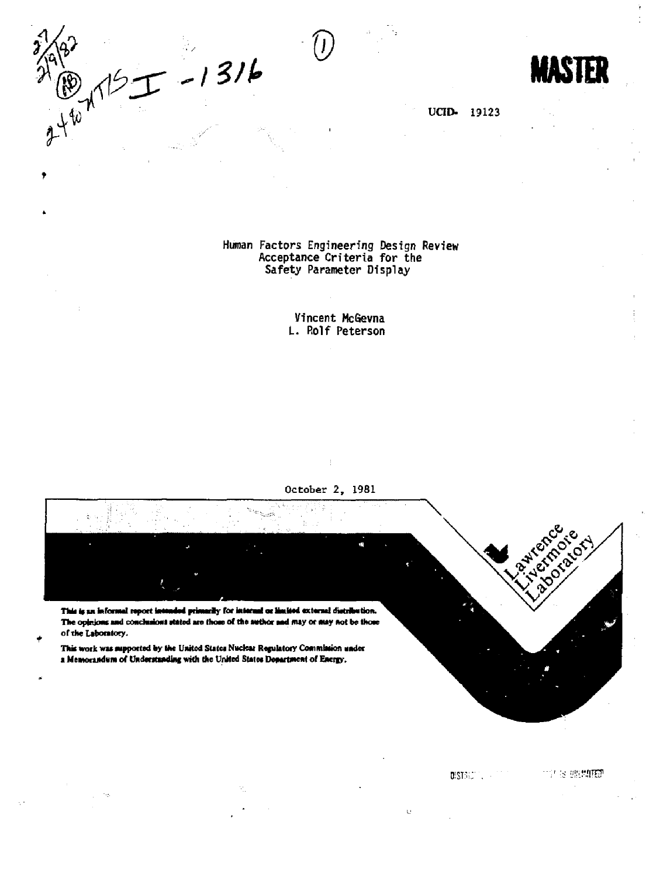*\VL* **® MASTER 12 17/19**  $\chi^{\downarrow}$ 

٠

**UCID. 19123** 

**Human Factors Engineering Design Review Acceptance Criteria for the Safety Parameter Display** 

> **Vincent McGevna L. Rolf Peterson**

**Octobe r 2 , 1981** 

ŧ

This is an informal report intended primarily for internal or limited external distribution. The opinions and conclusioni stated are those of the author and may or may not be those of the Laboratory.

This work was supported by the United States Nuclear Regulatory Commission under *a* **Memorandum of Understanding with the United States Department of Energy.** 



i "liiWITS1

DISTRICTION of

 $\bar{\psi}$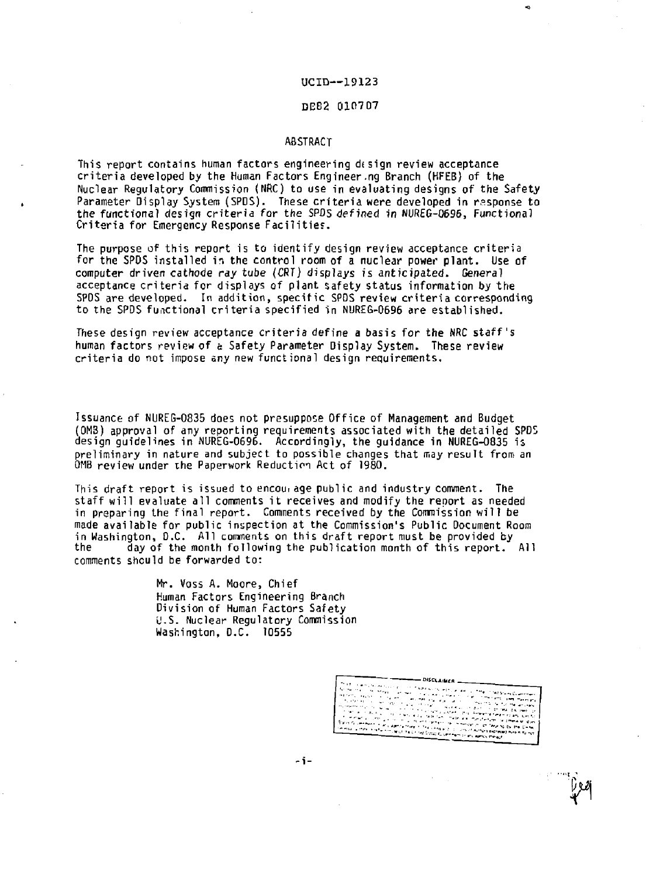### UCID--19123

ą.

### DEB2 01C1707

### **ABSTRACT**

**This report contains human factors engineering d« sign review acceptance criteria developed by the Human Factors Engineer.ng Branch (HFEB) of the Nuclear Regulatory Commission (NRC) to use in evaluating designs of the Safety Parameter Display System (SPDS). These criteria were developed in rasponse to the functional design criteria for the SPDS defined in NUREG-Q696, Functional Criteria for Emergency Response Facilities.** 

**The purpose of this report is to identify design review acceptance criteria for the SPOS installed in the control room of a nuclear power plant. Use of computer driven cathode** *ray* **tube (CRT) displays is anticipated. General acceptance criteria for displays of plant safety status information by the SPDS are developed. In addition, specific SPDS review criteria corresponding to the SPDS functional criteria specified in NUREG-0696 are established.** 

**These design review acceptance criteria define a basis for the NRC staff's human factors review of a Safety Parameter Display System. These review criteria do not impose any new functional design requirements.** 

**Issuance of NUREG-0835 does not presuppose Office of Management and Budget (0M3) approval of any reporting requirements associated with the detailed SPDS design guidelines in NUREG-0696. Accordingly, the guidance in NUREG-0835 is preliminary in nature and subject to possible changes that may result from an 0MB review under the Paperwork Reduction Act of 1980.** 

**This draft report is issued to encourage public and industry comment. The staff will evaluate all comments it receives and modify the report as needed in preparing the final report. Comments received by the Commission will be made available for public inspection at the Commission's Public Document Room in Washington, D.C. All comments on this draft report must be provided by the day of the month following the publication month of this report. All comments should be forwarded to:** 

> **Mr. Voss A. Moore, Chief Human Factors Engineering Branch Division of Human Factors Safety U.S. Nuclear Regulatory Commission Washington, D.C. 10555**

> > **DISCLAIMED** and were a com-R.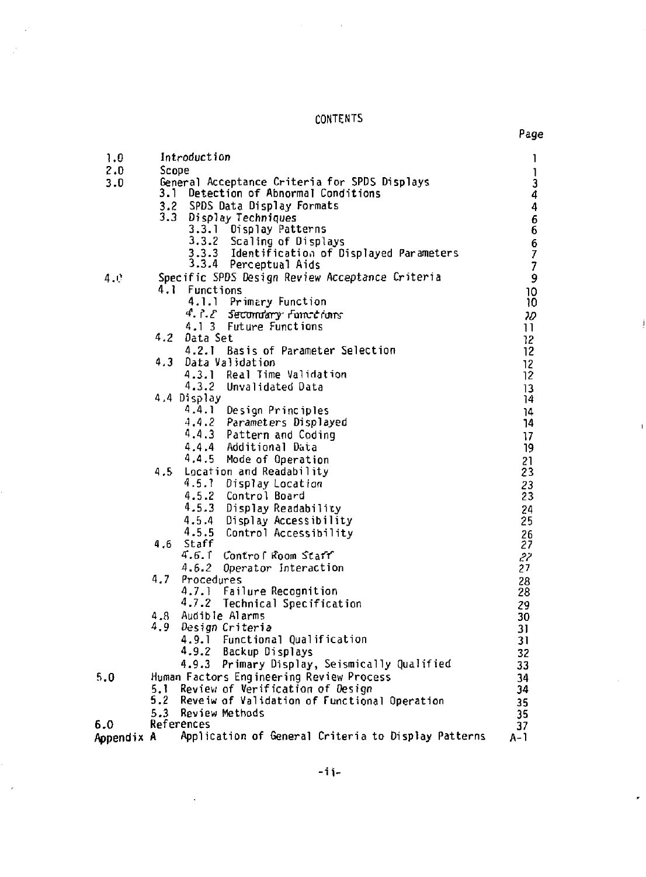CONTENTS

l,

Page

Ĵ

 $\overline{1}$ 

| 1.0        |       | Introduction                                                                          | 1                                                                                                                                                                                                                                                                                                                                                                                |
|------------|-------|---------------------------------------------------------------------------------------|----------------------------------------------------------------------------------------------------------------------------------------------------------------------------------------------------------------------------------------------------------------------------------------------------------------------------------------------------------------------------------|
| 2.0        | Scope |                                                                                       | $\begin{array}{c} \rule{0pt}{2.5ex} \rule{0pt}{2.5ex} \rule{0pt}{2.5ex} \rule{0pt}{2.5ex} \rule{0pt}{2.5ex} \rule{0pt}{2.5ex} \rule{0pt}{2.5ex} \rule{0pt}{2.5ex} \rule{0pt}{2.5ex} \rule{0pt}{2.5ex} \rule{0pt}{2.5ex} \rule{0pt}{2.5ex} \rule{0pt}{2.5ex} \rule{0pt}{2.5ex} \rule{0pt}{2.5ex} \rule{0pt}{2.5ex} \rule{0pt}{2.5ex} \rule{0pt}{2.5ex} \rule{0pt}{2.5ex} \rule{0$ |
| 3.0        |       | General Acceptance Criteria for SPDS Displays<br>3.1 Detection of Abnormal Conditions | 3<br>4                                                                                                                                                                                                                                                                                                                                                                           |
|            | 3.2   | SPDS Data Display Formats                                                             | $\ddot{4}$                                                                                                                                                                                                                                                                                                                                                                       |
|            |       | 3.3 Display Techniques                                                                |                                                                                                                                                                                                                                                                                                                                                                                  |
|            |       | Display Patterns<br>3.3.1                                                             | $\frac{6}{6}$                                                                                                                                                                                                                                                                                                                                                                    |
|            |       | 3.3.2 Scaling of Displays                                                             |                                                                                                                                                                                                                                                                                                                                                                                  |
|            |       | 3.3.3 Identification of Displayed Parameters<br>3.3.4 Perceptual Aids                 | $\begin{array}{c} 6 \\ 7 \\ 7 \end{array}$                                                                                                                                                                                                                                                                                                                                       |
|            |       |                                                                                       |                                                                                                                                                                                                                                                                                                                                                                                  |
| 4.е        |       | Specific SPDS Design Review Acceptance Criteria                                       | 9                                                                                                                                                                                                                                                                                                                                                                                |
|            | 4.1   | Functions                                                                             | 10                                                                                                                                                                                                                                                                                                                                                                               |
|            |       | 4.1.1 Primary Function                                                                | 10                                                                                                                                                                                                                                                                                                                                                                               |
|            |       | 4. P. 2 Secondary Functions                                                           | w                                                                                                                                                                                                                                                                                                                                                                                |
|            | 4.2   | 4.1 3 Future Functions<br>Data Set                                                    | $\overline{11}$                                                                                                                                                                                                                                                                                                                                                                  |
|            |       | 4.2.1 Basis of Parameter Selection                                                    | 12<br>12 <sup>2</sup>                                                                                                                                                                                                                                                                                                                                                            |
|            | 4.3   | Data Validation                                                                       | 12                                                                                                                                                                                                                                                                                                                                                                               |
|            |       | 4.3.1 Real Time Validation                                                            | 12                                                                                                                                                                                                                                                                                                                                                                               |
|            |       | 4.3.2 Unvalidated Data                                                                | 13                                                                                                                                                                                                                                                                                                                                                                               |
|            |       | 4.4 Display                                                                           | 14                                                                                                                                                                                                                                                                                                                                                                               |
|            |       | 4.4.1 Design Principles                                                               | 14                                                                                                                                                                                                                                                                                                                                                                               |
|            |       | 4, 4.2<br>Parameters Displayed                                                        | 14                                                                                                                                                                                                                                                                                                                                                                               |
|            |       | 4.4.3 Pattern and Coding                                                              | 17                                                                                                                                                                                                                                                                                                                                                                               |
|            |       | 4.4.4 Additional Data                                                                 | 19                                                                                                                                                                                                                                                                                                                                                                               |
|            |       | 4.4.5<br>Mode of Operation                                                            | 21                                                                                                                                                                                                                                                                                                                                                                               |
|            | 4.5   | Location and Readability                                                              | 23                                                                                                                                                                                                                                                                                                                                                                               |
|            |       | 4.5.1<br>Display Location                                                             | 23                                                                                                                                                                                                                                                                                                                                                                               |
|            |       | 4.5.2 Control Board                                                                   | 23                                                                                                                                                                                                                                                                                                                                                                               |
|            |       | 4.5.3 Display Readability                                                             | 24                                                                                                                                                                                                                                                                                                                                                                               |
|            |       | 4.5.4 Display Accessibility                                                           | 25                                                                                                                                                                                                                                                                                                                                                                               |
|            | 4.6   | 4.5.5 Control Accessibility<br>Staff                                                  | 26<br>27                                                                                                                                                                                                                                                                                                                                                                         |
|            |       | 4.6.1 Control Room Start                                                              | 27                                                                                                                                                                                                                                                                                                                                                                               |
|            |       | 4.6.2 Operator Interaction                                                            | 27                                                                                                                                                                                                                                                                                                                                                                               |
|            | 4.7   | Procedures                                                                            | 28                                                                                                                                                                                                                                                                                                                                                                               |
|            |       | 4.7.1 Failure Recognition                                                             | 28                                                                                                                                                                                                                                                                                                                                                                               |
|            |       | 4.7.2 Technical Specification                                                         | 29                                                                                                                                                                                                                                                                                                                                                                               |
|            | 4.8   | Audible Alarms                                                                        | 30                                                                                                                                                                                                                                                                                                                                                                               |
|            | 4.9   | Design Criteria                                                                       | 31                                                                                                                                                                                                                                                                                                                                                                               |
|            |       | 4.9.1 Functional Qualification                                                        | 31                                                                                                                                                                                                                                                                                                                                                                               |
|            |       | 4.9.2 Backup Displays                                                                 | 32                                                                                                                                                                                                                                                                                                                                                                               |
|            |       | 4.9.3 Primary Display, Seismically Qualified                                          | 33                                                                                                                                                                                                                                                                                                                                                                               |
| 5.0        |       | Human Factors Engineering Review Process                                              | 34                                                                                                                                                                                                                                                                                                                                                                               |
|            |       | 5.1 Review of Verification of Design                                                  | 34                                                                                                                                                                                                                                                                                                                                                                               |
|            | 5.2   | Reveiw of Validation of Functional Operation                                          | 35                                                                                                                                                                                                                                                                                                                                                                               |
| 6.0        |       | 5.3 Review Methods<br>References                                                      | 35                                                                                                                                                                                                                                                                                                                                                                               |
| Appendix A |       | Application of General Criteria to Display Patterns                                   | 37<br>A-1                                                                                                                                                                                                                                                                                                                                                                        |
|            |       |                                                                                       |                                                                                                                                                                                                                                                                                                                                                                                  |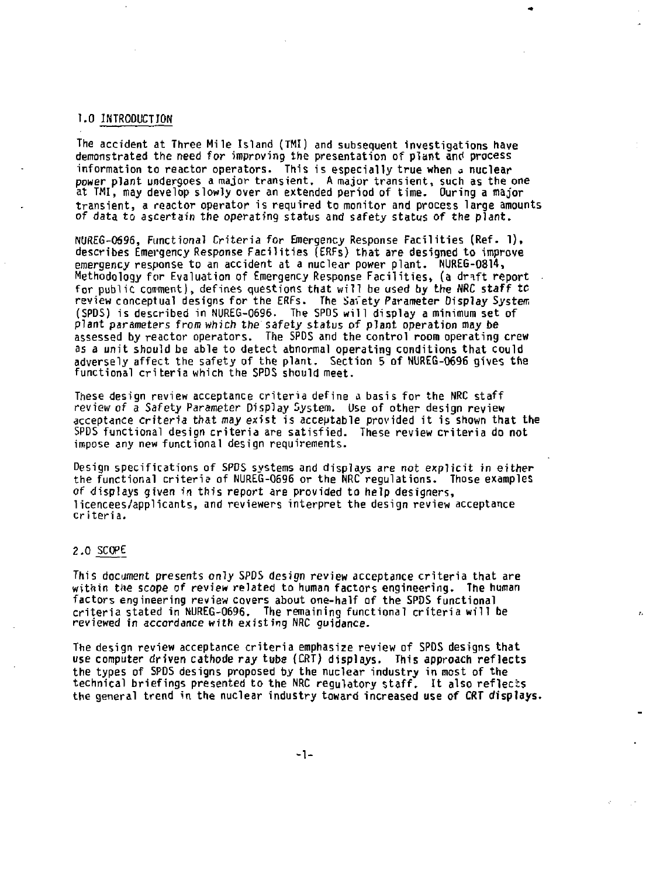## **1.0 INTRODUCTION**

**The accident at Three Mile Island (TMI) and subsequent investigations have demonstrated the need for improving the presentation of plant and process information to reactor operators. This is especially true when a nuclear power plant undergoes a major transient. A major transient, such as the one at TMI, may develop slowly over an extended period of time. Ouring a major transient, a reactor operator is required to monitor and process large amounts of data to ascertain the operating status and safety status of the plant.** 

**NUREG-0596, Functional Criteria for Emergency Response Facilities (Ref. 1), describes Emergency Response Facilities (ERFs) that are designed to improve emergency response to an accident at a nuclear power plant. NUREG-0814, Methodology for Evaluation of Emergency Response Facilities, (a dr^ft report**  for public comment), defines questions that will be used by the NRC staff to **review conceptual designs for the ERFs. The Safety Parameter Display System (SPDS) is described in NUREG-0696. The SPDS will display a minimum set of plant parameters from which the safety status of plant operation may be assessed by reactor operators. The SPDS and the control room operating crew as a unit should be able to detect abnormal operating conditions that could adversely affect the safety of the plant. Section 5 of NUREG-0696 gives the functional criteria which the SPDS should meet.** 

**These design review acceptance criteria define a basis for the NRC staff review of a Safety Parameter Display System. Use of other design review acceptance** *criteria* **that** *may* **exist is acceptable provided it is shown that the SPDS functional design criteria are satisfied. These review criteria do not impose any new functional design requirements.** 

**Design specifications of SPDS systems and displays are not explicit in either the functional criteria of NUREG-0696 or the NRC regulations. Those examples of displays given in this report are provided to help designers, licencees/applicants, and reviewers interpret the design review acceptance criteria.** 

### **2.0 SCOPE**

**This document presents only SPDS design review acceptance criteria that are within the scope of review related to human factors engineering. The human factors engineering review covers about one-half of the SPDS functional criteria stated in NUREG-0696. The remaining functional criteria will be reviewed in accordance with existing NRC guidance.** 

z.

**The design review acceptance criteria emphasize review of SPDS designs that use computer driven cathode** *ray* **tube {CRT) displays. This approach reflects the types of SPDS designs proposed by the nuclear industry in most of the technical briefings presented to the NRC regulatory staff. It also reflects the general trend in the nuclear industry toward increased use of** *CRT* **displays.**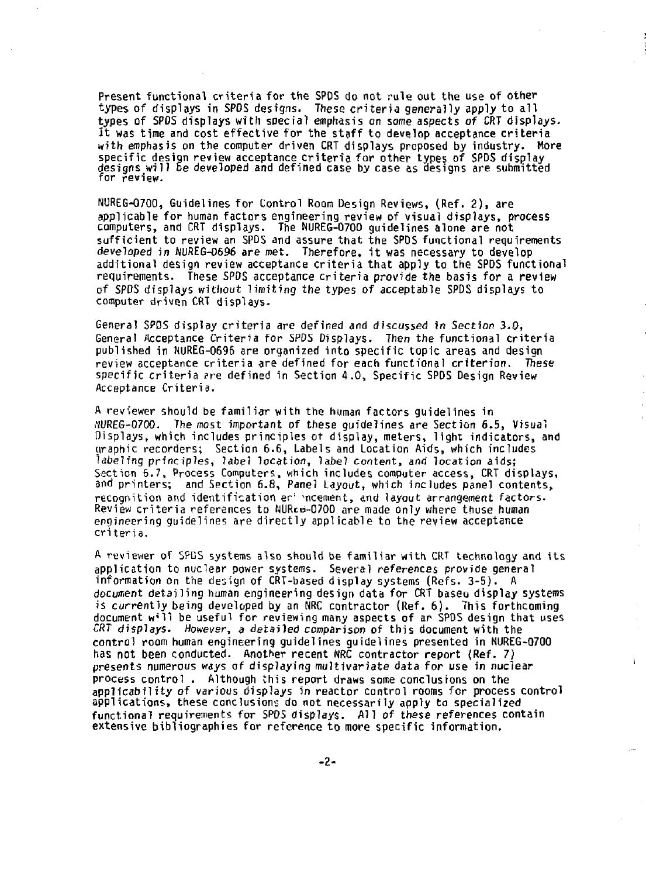**Present functional criteria for the SPOS do not rule out the use of other types of displays in SPOS designs. These criteria generally apply to all types of SPOS displays with special emphasis on some aspects** *of* **CRT displays-It was tine and cost effective for the staff to develop acceptance criteria with emphasis on the computer driven CRT displays proposed by industry. More specific design review acceptance criteria for other types of SPDS display designs will Be developed and defined case by case as designs are submitted for review.** 

**NUREG-0700, Guidelines for Control Room Design Reviews, (Ref. 2) , are applicable for human factors engineering review of visual displays, process computers, and CRT displays. The NUREG-0700 guidelines alone are not sufficient to review an SPDS and assure that the SPDS functional requirements**  *developed in* **flUREG-0696 are met. Therefore, it was necessary to develop additional design review acceptance criteria that apply to the SPDS functional requirements. These SPOS acceptance criteria provide the basis for a review of SPDS displays without limiting the types of acceptable SPDS displays to computer driven CRT displays.** 

**General SPOS display criteria are defined and discussed in Section 3.0, General Acceptance Criteria for SPDS Displays. Then the functional criteria published in NUREG-0696 are organized into specific topic areas and design review acceptance criteria are defined for each functional criterion. These specific criteria ere defined in Section 4.0, Specific SPDS Design Review Acceptance Criteria.** 

**A reviewer should be familiar with the human factors guidelines in MREG-0700. The most important of these guidelines are Section 6.5, Visual Displays, which includes principles ot display, meters, light indicators, and yraphic recorders; Section 6.6, Labels and Location Aids, which includes labeling principles, label location, label content, and location aids; Section 6.7, Process Computers, which includes computer access, CRT displays, and printers; and Section 6.8, Panel Layout, which includes panel contents, recognition and identification er 'ncement, and layout arrangement factors. Review criteria references to NURcu-0700 are made only where thuse human engineering guidelines are directly applicable to the review acceptance criteria.** 

**A reviewer of SPUS systems also should be familiar with CRT technology and its application to nuclear power systems. Several references provide general information on the design of CRT-based display systems (Refs. 3-5). A document detailing human engineering design data for CRT baseo display systems is** *currently* **being developed by an NRC contractor (Ref. 6) . This forthcoming document w'll be useful for reviewing many aspects of an SPDS design that uses**  *CRT* **displays.** *However, a* **detailed comparison of this document with the control room human engineering guidelines guidelines presented in NUREG-0700 has not been conducted. Another recent NRC contractor report (Ref.** *7)*  **presents numerous ways of displaying multivariate data for use in nuclear process control . Although this report draws some conclusions on the applicability of various displays in reactor control rooms for process control**  applications, these conclusions do not necessarily apply to specialized **functional requirements for SPOS displays. All of these references contain extensive bibliographies for reference to more specific information.** 

i.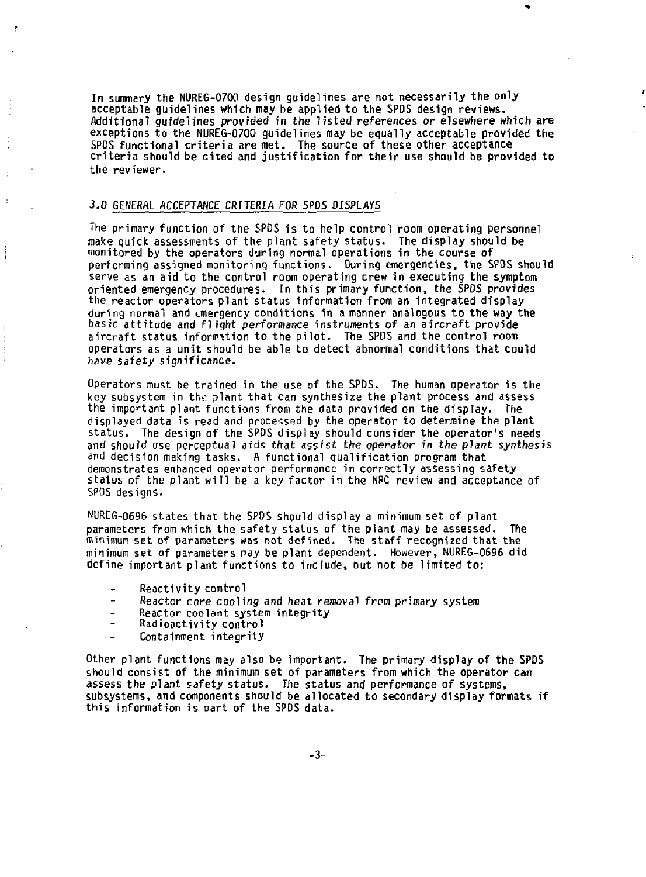**In summary the NUREG-0700 design guidelines are not necessarily the only acceptable guidelines which may be applied to the SPDS design reviews. Additional guidelines provided in the listed references** *or* **elsewhere which are exceptions to the NUREG-0700 guidelines may be equally acceptable provided the SPDS functional criteria are met. The source of these other acceptance criteria should be cited and justification for their use should be provided to the reviewer.** 

ł

### **3.0 GENERAL ACCEPTANCE CRITERIA FOR SPDS** *DISPLAYS*

**The primary function of the SPDS is to help control room operating personnel make quick assessments of the plant safety status. The display should be monitored by the operators during normal operations in the course of performing assigned monitoring functions. During emergencies, the SFOS should serve as an aid to the control room operating crew in executing the symptom oriented emergency procedures. In this primary function, the SPDS provides the reactor operators plant status information from an integrated display during normal and onergency conditions in a manner analogous to the way the basic attitude and flight** *performance* **instruments of an aircraft provide aircraft status information to the pilot. The SPDS and the control room operators as a unit should be able to detect abnormal conditions that could have safety significance.** 

**Operators must be trained in the use of the SPDS. The human operator is the**  key subsystem in the plant that can synthesize the plant process and assess **the important plant functions from the data provided on the display. The displayed data is read and processed by the operator to determine the plant status. The design of the SPDS display should consider the operator's needs and should use perceptual aids that assist** *the operator in the plant synthesis*  **and decision making tasks. A functional qualification program that demonstrates enhanced operator performance in correctly assessing safety status of the plant will be a key factor in the NRC review and acceptance of SPDS designs.** 

**NUREG-0696 states that the SPDS should display a minimum set of plant**  parameters from which the safety status of the plant may be assessed. **minimum set of parameters was not defined. The staff recognized that the minimum set of parameters may be plant dependent. However, NUREG-0696 did define important plant functions to include, but not be limited to:** 

- **Reactivity control**
- L, **Reactor core cooling and heat removal from primary system**
- **Reactor coolant system integrity**
- J. **Radioactivity control**
- **Containment integrity**

**Other plant functions may also be important. The primary display of the SPDS should consist of the minimum set of parameters from which the operator can assess the plant safety status. The status and performance of systems, subsystems, and components should be allocated to secondary display formats if this information is oart of the SPDS data.**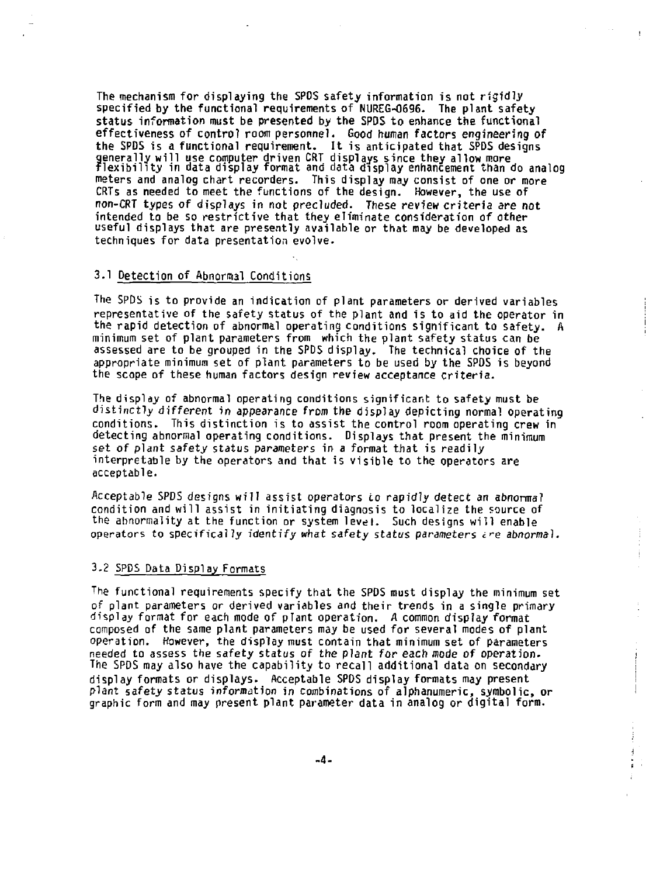**The mechanism for displaying the SPOS safety information is not rigidly specified by the functional requirements of NUREG-0696. The plant safety status information must be presented by the SPDS to enhance the functional effectiveness of control room personnel. Good human factors engineering of the SPDS is a functional requirement. It is anticipated that SPDS designs ? enerally will use computer driven CRT displays since they allow more lexibility in data display format and data display enhancement than do analog meters and analog chart recorders. This display may consist of one or more CRTs as needed to meet the functions of the design. However, the use of non-CRT types of displays in not precluded. These review criteria** *are* **not intended to be so restrictive that they eliminate consideration of other useful displays that are presently available or that may be developed as techniques for data presentation evolve.** 

- 1

ł Ť

j

÷

### **3.1 Detection of Abnormal Conditions**

**The SPDS is to provide an indication of plant parameters or derived variables representative of the safety status of the plant and is to aid the operator in the rapid detection of abnormal operating conditions significant to safety. A minimum set of plant parameters from which the plant safety status can be assessed are to be grouped in the SPDS display. The technical choice of the appropriate minimum set of plant parameters to be used by the SPOS is beyond the scope of these human factors design review acceptance criteria.** 

**The display of abnormal operating conditions significant to safety must be distinctly different in appearance from the display depicting normal operating conditions. This distinction is to assist the control room operating crew in detecting abnormal operating conditions. Displays that present the minimum set of plant safety status parameters in a format that is readily interpretable by the operators and that is visible to the operators are acceptable.** 

**Acceptable SPDS designs will assist operators to rapidly detect an abnormal condition and will assist in initiating diagnosis to localize the source of the abnormality at the function or system level. Such designs will enable operators to specifically identify what safety status parameters** *c^e abnormal.* 

### 3.2 SPDS Data Display Formats

**The functional requirements specify that the SPDS must display the minimum set of plant parameters or derived variables and their trends in a single primary display format for each mode of pTant operation.** *A* **common display format composed of the same plant parameters may be used for several modes of plant operation. However, the display must contain that minimum set of parameters needed to assess the safety status of the plant for each mode of operation-The SPDS may also have the capability to recall additional data on secondary display formats or displays. Acceptable SPDS display formats may present plant safety status information jn combinations of alphanumeric, symbolic, or graphic form and may present plant parameter data in analog or digital form.**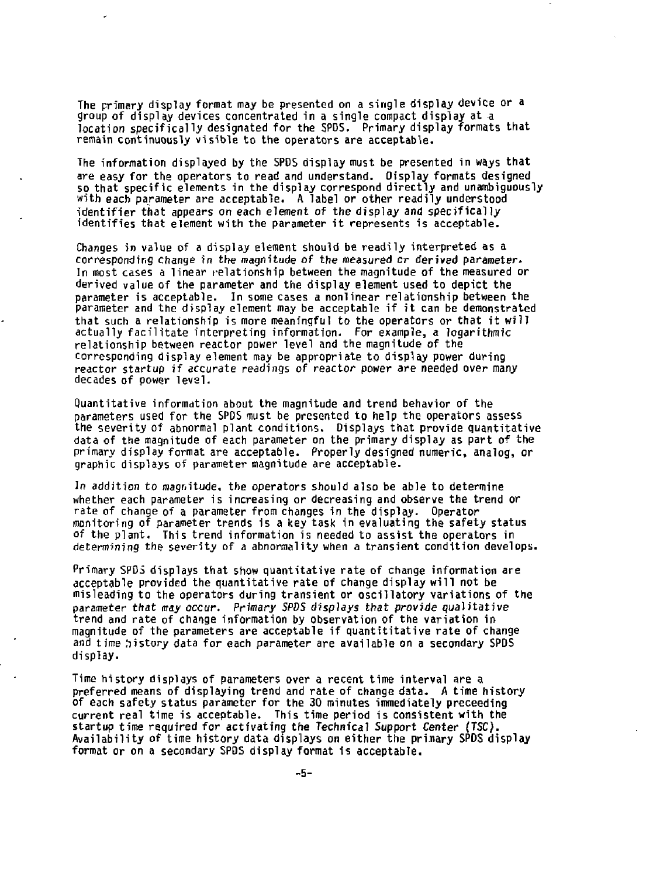**The primary display format may be presented on a single display device or a group of display devices concentrated in a single compact display at a location specifically designated for the SPDS. Primary display formats that remain continuously visible to the operators are acceptable.** 

**The information displayed by the SPDS display must be presented in ways that are easy for the operators to read and understand. Oisplay formats designed so that specific elements in the display correspond directly and unambiguously with each parameter are acceptable. A label or other readily understood identifier that appears on each element of the display and specifically identifies that element with the parameter it represents is acceptable.** 

**Changes in value of a display element should be readily interpreted as a corresponding change in the magnitude of the measured** *cr* **derived parameter. In most cases a linear relationship between the magnitude of the measured or derived value of the parameter and the display element used to depict the parameter is acceptable. In some cases a nonlinear relationship between the parameter and the display element may be acceptable if it can be demonstrated that such a relationship is more meaningful to the operators or that it will actually facilitate interpreting information. For example, a logarithmic relationship between reactor power level and the magnitude of the corresponding display element may be appropriate to display power during reactor startup if accurate readings of reactor power** *are* **needed over many decades of power level.** 

**Quantitative information about the magnitude and trend behavior of the parameters used for the SPDS must be presented to help the operators assess the severity of abnormal plant conditions. Displays that provide quantitative data of the magnitude of each parameter on the primary display as part of the primary display format are acceptable. Properly designed numeric, analog, or graphic displays of parameter magnitude are acceptable.** 

*In* **addition to magnitude, the operators should also be able to determine whether each parameter is increasing or decreasing and observe the trend or rate of change of a parameter from changes in the display. Operator monitoring of parameter trends is a key task in evaluating the safety status of the plant. This trend information is needed to assist the operators in determining the severity of a abnormality when a transient condition develops.** 

**Primary SPDS displays that show quantitative rate of change information are acceptable provided the quantitative rate of change display will not be misleading to the operators during transient or oscillatory variations of the**  parameter that *may occur. Primary SPDS displays that provide* qualitative **trend and rate of change information by observation of the variation in magnitude of the parameters are acceptable if quantitative rate of change and time Iiistory data for each parameter are available on a secondary SPDS display.** 

**Time history displays of parameters over a recent time interval are a preferred means of displaying trend and rate of change data. A time history of each safety status parameter for the 30 minutes immediately preceeding current real time is acceptable. This time period is consistent with the startup time required for activating the Technical** *Support* **Center** *(TSC).*  **Availability of time history data displays on either the prinary SPDS display format or on a secondary SPDS display format is acceptable,**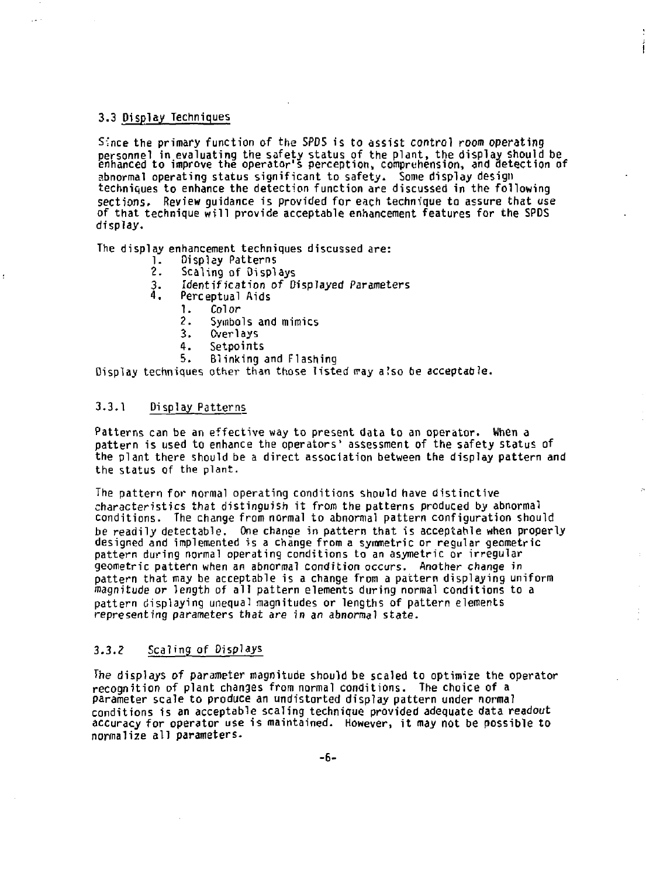## **3.3 Display Techniques**

**Since the primary function of the SPDS is to assist control room operating personnel in evaluating the safety status of the plant, the display should be enhanced to improve the operator's perception, comprehension, and detection of abnormal operating status significant to safety. Some display design techniques to enhance the detection function are discussed in the following sections. Review guidance is provided for each technique to assure that use of that technique will provide acceptable enhancement features for the SPDS display.** 

**The display enhancement techniques discussed are:** 

- **1. Display Patterns**
- 
- **2. Scaling of Displays 3. Identification of Displayed Parameters**
- **4. Perceptual Aids** 
	- **1. Color**
	- **2. Symbols and mimics**
	- 3. Overlays<br>4. Setpoint
	- 4. Setpoi<mark>nts</mark><br>5. Blinking
	- **5. Blinking and Flashing**

**Display techniques other than those listed rray a!so be acceptable.** 

## **3.3.1 Display Patterns**

**Patterns can be an effective way to present data to an operator. When a pattern is used to enhance the operators' assessment of the safety status of the plant there should be a direct association between the display pattern and the status of the plant.** 

**The pattern for normal operating conditions should have distinctive characteristics that distinguish it from the patterns produced by abnormal conditions. The change from normal to abnormal pattern configuration should be readily detectable. One change in pattern that is acceptable when properly designed and implemented is a change from a symmetric or regular geometric pattern during normal operating conditions to an asymetric or irregular geometric pattern when an abnormal condition occurs. Another change in pattern that may be acceptable is a change from a pattern displaying uniform magnitude** *or* **length of all pattern elements during normal conditions to a pattern displaying unequal magnitudes or lengths of pattern elements representing parameters that are in** *an* **abnormal state.** 

### **3.3.? Scaling of Displays**

**The displays of parameter magnitude should be scaled to optimize the operator recognition of plant changes from normal conditions. The choice of a parameter scale to produce an undistorted display pattern under normal conditions is an acceptable scaling technique provided adequate data readout accuracy for operator use is maintained. However, it may not be possible to normalize all parameters.**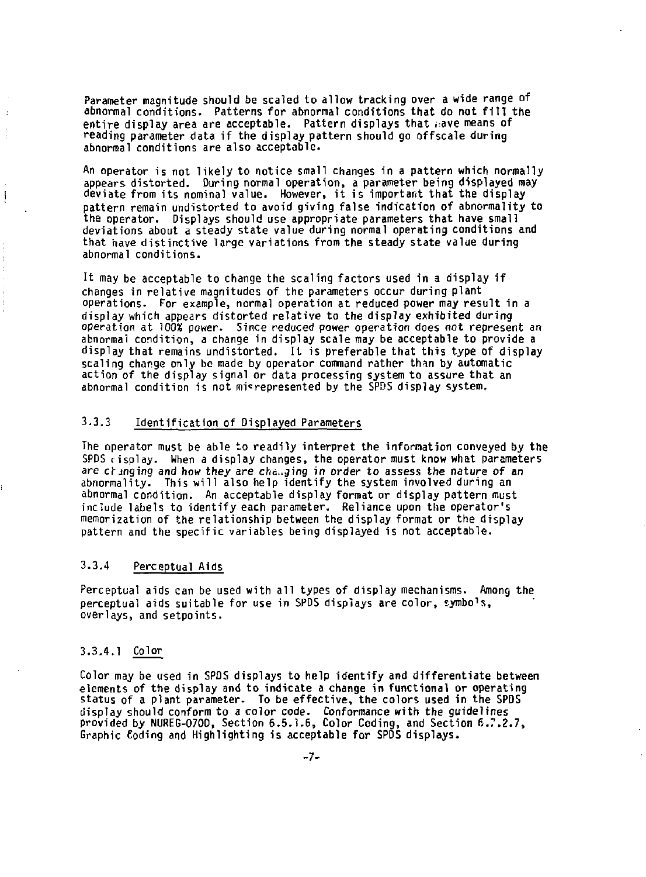**Parameter magnitude should be scaled to allow tracking over a wide range of abnormal conditions. Patterns for abnormal conditions that do not fill the entire display area are acceptable. Pattern displays that ;:ave means of reading parameter data if the display pattern should go offscale during abnormal conditions are also acceptable.** 

**An operator is not likely to notice small changes in a pattern which normally appears distorted. During normal operation, a parameter being displayed may deviate from its nominal value. However, it is important that the display pattern remain undistorted to avoid giving false indication of abnormality to the operator. Displays should use appropriate parameters that have small deviations about a steady state value during normal operating conditions and that have distinctive large variations from the steady state value during abnormal conditions.** 

**It may be acceptable to change the scaling factors used in a display if changes in relative magnitudes of the parameters occur during plant operations. For example, normal operation at reduced power may result in a display which appears distorted relative to the display exhibited during operation at 100% power. Since reduced power operation does not represent an abnormal condition, a change in display scale may be acceptable to provide a display that remains undistorted. It is preferable that this type of display scaling change only be made by operator command rather thin by automatic action of the display signal or data processing system to assure that an abnormal condition is not misrepresented by the SPDS display system.** 

## **3-3.3 Identification of Displayed Parameters**

**The operator must be able to readily interpret the information conveyed by the SPDS risplay. When a display changes, the operator must know what parameters**  are changing and how they are changing in order to assess the nature of an **abnormality. This will also help identify the system involved during an abnormal condition. An acceptable display format or display pattern must include labels to identify each parameter. Reliance upon the operator's memorization of the relationship between the display format or the display pattern and the specific variables being displayed is not acceptable.** 

# **3.3.4 Perceptual Aids**

**Perceptual aids can be used with all types of display mechanisms. Among the perceptual aids suitable for use in SPDS displays are color, symbo<sup>1</sup> s, overlays, and setpoints.** 

### **3.3.4.1 Color**

÷,

 $\overline{\phantom{a}}$ 

 $\overline{1}$ 

ŀ,

**Color may be used in SPDS displays to help identify and differentiate between elements of the display and to indicate a change in functional or operating status of a plant parameter. To be effective, the colors used in the SPDS display should conform to a color code. Conformance with the guidelines provided by NUREG-0700, Section 6.5.1.6, Color Coding, and Section 6.7.2.7, Graphic Coding and Highlighting is acceptable for SPDS displays.**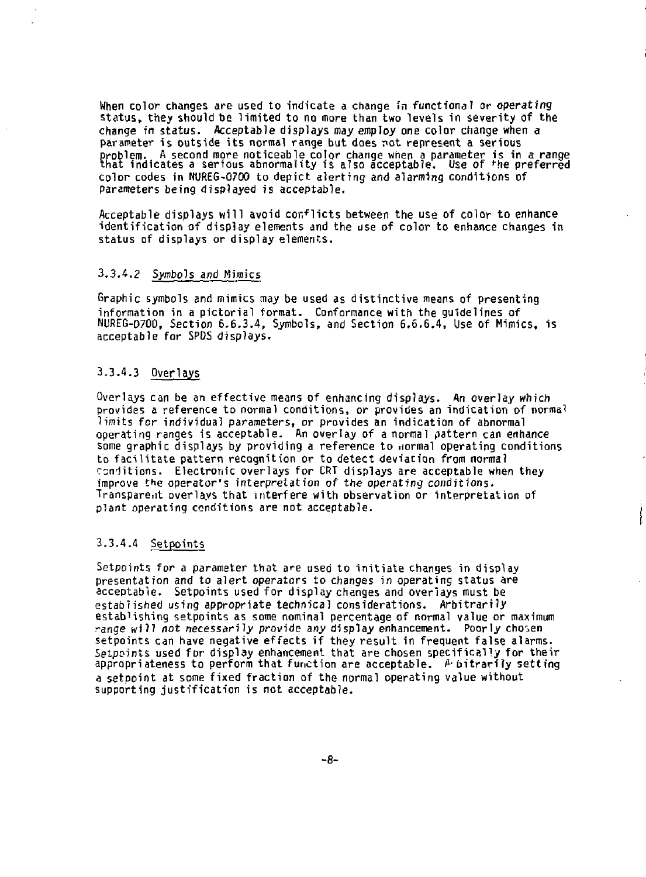**When color changes are used to indicate a change in functional or** *operating*  **status, they should be limited to no more than two levels in severity of the change in status. Acceptable displays may employ one color change when a**  parameter is outside its normal range but does not represent a serious **problem. A second more noticeable color change when a parameter is in a range that indicates a serious abnormality is also acceptable. Use of ''he preferred color codes in NUREG-0700 to depict alerting and alarming conditions of Parameters being displayed is acceptable.** 

**Acceptable displays will avoid con<sup>f</sup>licts between the use of color to enhance identification of display elements and the use of color to enhance changes in status of displays or display elements.** 

## **3.3.4.2** *Symbols* **and Mimics**

**Graphic symbols and mimics may be used as distinctive means of presenting information in a pictorial format. Conformance with the guidelines of NUREG-O700, Section 6.6.3.4, Symbols, and Section 6.6.6.4, Use of Mimics, is acceptable for SPDS displays.** 

## **3.3.4.3 Overlays**

**Overlays can be an effective means of enhancing displays. An overlay which provides a reference to normal conditions, or provides an indication of normal**  limits for individual parameters, or provides an indication of abnormal **operating ranges is acceptable. An overlay of a normal pattern can enhance some graphic displays by providing a reference to normal operating conditions to facilitate pattern recognition or to detect deviation from norma? renditions. Electronic overlays for CRT displays are acceptable when they improve tHe operator's interpretation of** *the* **operating conditions. Transparent overlays that interfere with observation or interpretation of plant operating conditions are not acceptable.** 

## **3.3.4.4 Setpoints**

Setpoints for a parameter that are used to initiate changes in display **presentation and to alert operators to changes in operating status are acceptable. Setpoints used for display changes and overlays must be established using appropriate technical considerations. Arbitrarily establishing setpoints as some nominal percentage of normal value or maximum range will** *not necessarily* **provide any display enhancement. Poorly chosen setpoints can have negative effects if they result in frequent false alarms. Setpoints used for display enhancement that are chosen specifically for their appropriateness to perform that function are acceptable. £• bitrarf?y setting a setpoint at some fixed fraction of the normal operating value without supporting justification is not acceptable.**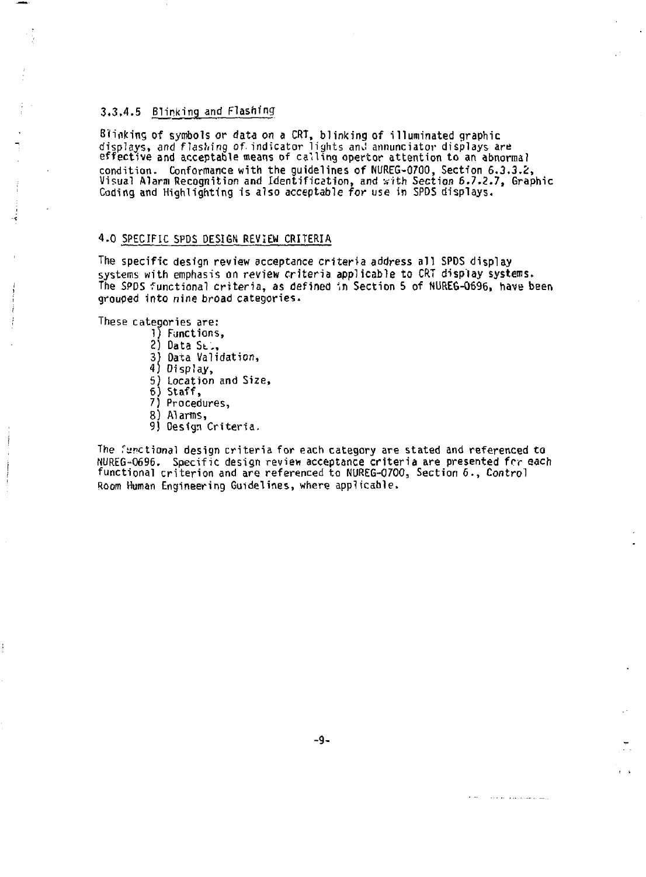## 3.3.4.5 Blinking and Flashing

Blinking of symbols or data on a CRT, blinking of illuminated graphic displays, and flashing of. indicator lights an».i annunciator displays are effective and acceptable means of calling opertor attention to an abnormal condition. Conformance with the guidelines of NUREG-0700, Section 6.3.3.2:, Visual Alarm Recognition and Identification, and sith Section 6.7,2.7, Graphic Coding and Highlighting is also acceptable for use in SPDS displays.

## 4.0 SPECIFIC SPDS DESIGN REVIEW CRITERIA

The specific design review acceptance criteria address all SPDS display systems with emphasis on review criteria applicable to CRT display systems. The SPDS functional criteria, as defined in Section 5 of NUREG-0696, have been grouped into nine broad categories.

These categories are:

- 1) Functions,
- 2) Data St.,
- 3) Data Validation,
- 4) Display,
- 5) Location and Size,
- 6) Staff,
- 7) Procedures,
- 8) Alarms,
- 9) Design Criteria.

The Tynctional design criteria for each category are stated and referenced to NUREG-0696. Specific design review acceptance criteria are presented frr each functional criterion and are referenced to NUREG-0700, Section 6., *Control*  Room Human Engineering Guidelines, where applicable.

in the contract of the contract of the con-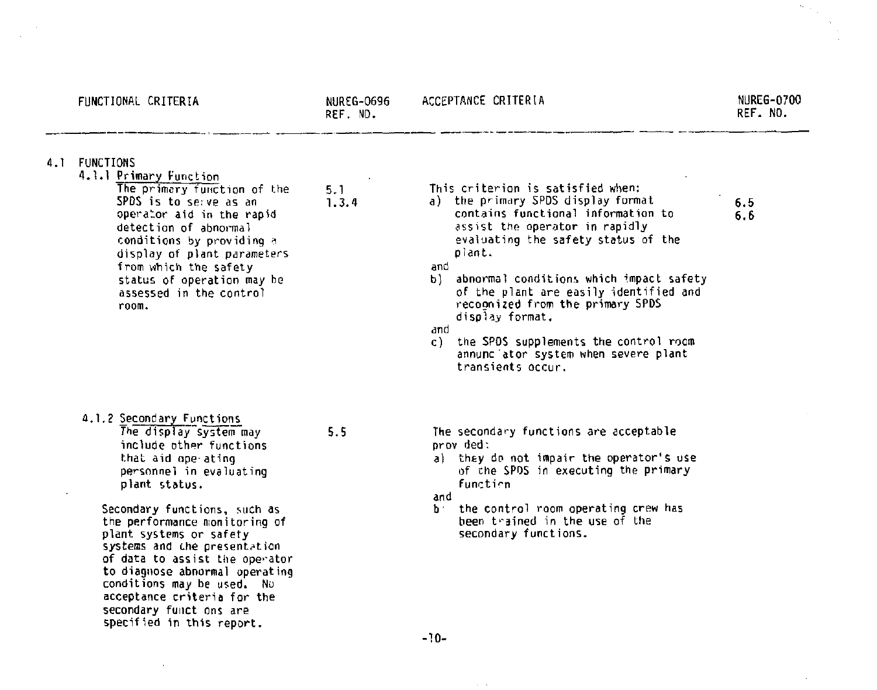|     | FUNCTIONAL CRITERIA                                                                                                                                                                                                                                                                                                                                                                                                                                                   | <b>NUREG-0696</b><br>REF. NO. | ACCEPTANCE CRITERIA                                                                                                                                                                                                                                                                                                                                                                                                                                                           | <b>NUREG-0700</b><br>REF. NO. |
|-----|-----------------------------------------------------------------------------------------------------------------------------------------------------------------------------------------------------------------------------------------------------------------------------------------------------------------------------------------------------------------------------------------------------------------------------------------------------------------------|-------------------------------|-------------------------------------------------------------------------------------------------------------------------------------------------------------------------------------------------------------------------------------------------------------------------------------------------------------------------------------------------------------------------------------------------------------------------------------------------------------------------------|-------------------------------|
| 4.1 | FUNCTIONS<br>4.1.1 Primary Function<br>The primary function of the<br>SPDS is to serve as an<br>operator aid in the rapid<br>detection of abnormal<br>conditions by providing a<br>display of plant parameters<br>from which the safety<br>status of operation may be<br>assessed in the control<br>room.                                                                                                                                                             | 5.1<br>1.3.4                  | This criterion is satisfied when:<br>a) the primary SPDS display format<br>contains functional information to<br>assist the operator in rapidly<br>evaluating the safety status of the<br>plant.<br>and<br>abnormal conditions which impact safety<br>P)<br>of the plant are easily identified and<br>recognized from the primary SPDS<br>display format.<br>and<br>the SPDS supplements the control room<br>c).<br>annunc ator system when severe plant<br>transients occur. | 6.5<br>6.6                    |
|     | 4.1.2 Secondary Functions<br>The display system may<br>include other functions<br>that aid ope ating<br>personnel in evaluating<br>plant status.<br>Secondary functions, such as<br>the performance monitoring of<br>plant systems or safety<br>systems and the presentation<br>of data to assist the operator<br>to diagnose abnormal operating<br>conditions may be used. No<br>acceptance criteria for the<br>secondary funct ons are<br>specified in this report. | 5.5                           | The secondary functions are acceptable<br>prov ded:<br>a) they do not impair the operator's use<br>of the SPDS in executing the primary<br>function<br>and<br>the control room operating crew has<br>ħ.<br>been trained in the use of the<br>secondary functions.                                                                                                                                                                                                             |                               |
|     |                                                                                                                                                                                                                                                                                                                                                                                                                                                                       |                               | $-10-$                                                                                                                                                                                                                                                                                                                                                                                                                                                                        |                               |

 $\sim 100$  km s  $^{-1}$ 

 $\frac{1}{2} \frac{1}{2} \frac{d^2}{dx^2}$ 

 $\epsilon$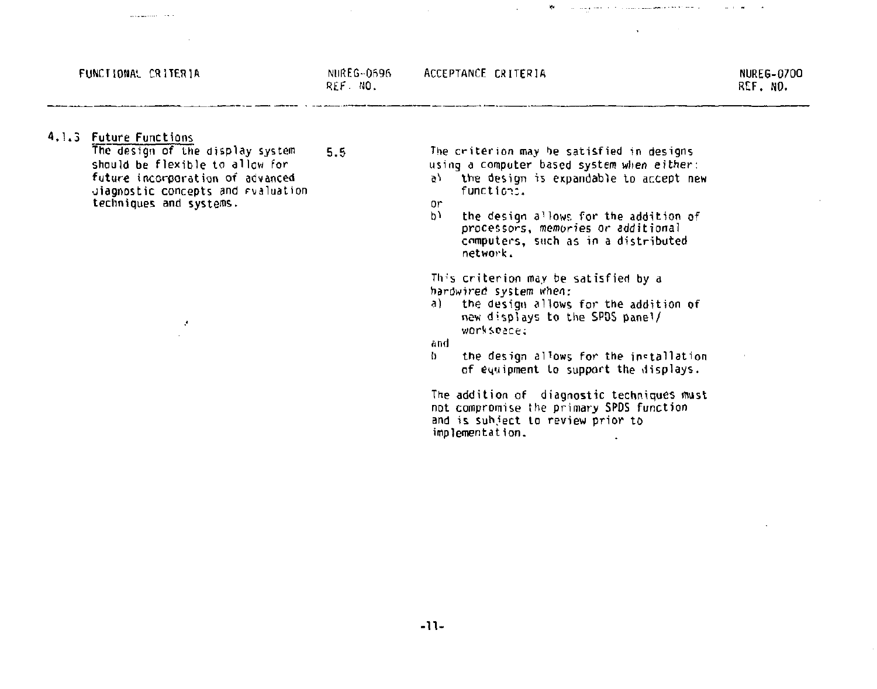#### FUNCTIONAL CRITERIA NUREG-0696

**Construction** of the first

REF- NO.

ACCEPTANCE CRITERIA

NUREG-G70O REF. NO.

#### 4,1.3 Future functions

The design of the display system 5.5 should be flexible to allow for future incorporation of advanced diagnostic concepts and rvaluation techniques and systems.

 $\mathcal{F}$ 

The criterion may he satisfied in designs using a computer based system when either:

 $\mathbf{v}_\mathrm{f}$ 

. The interaction of the components of the set of  $\mathcal{L}^{\alpha}$  , and the set of  $\mathcal{L}^{\alpha}$ 

a) the design is expandable to accept new function,

or<br>b)

the design allows for the addition of processors, memories or additional computers, such as in a distributed network.

This criterion may be satisfied by a hardwired system when:

a) the design allows for the addition of new displays to the SP05 panel/ workspace;

and

the design allows for the installation of equipment to support the displays.

The addition of diagnostic techniques must not compromise the primary SPDS function and is suh.iect to review prior to implementation.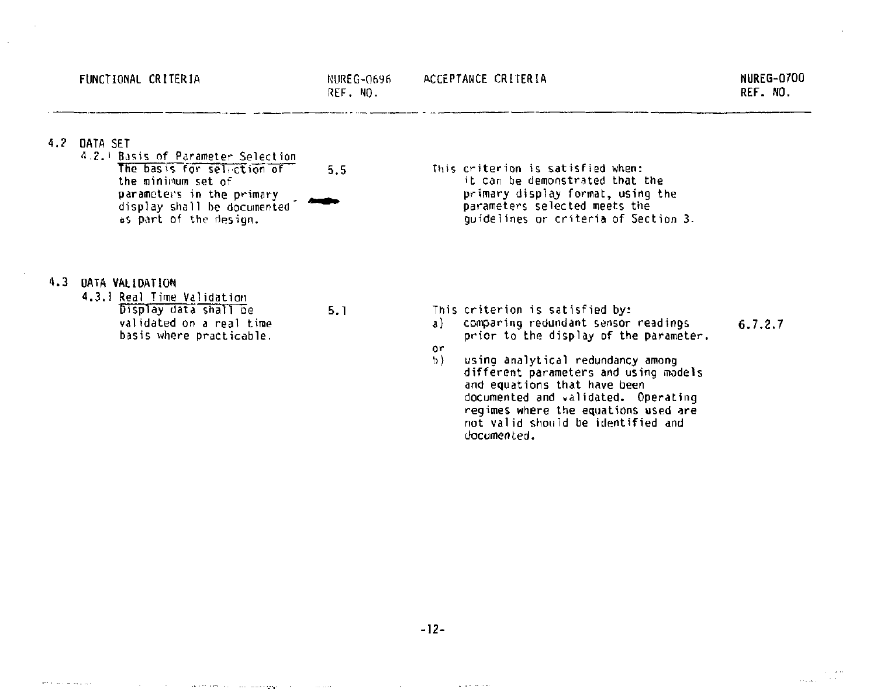$\sim$  .  $\sim$ 

#### 4.? DATA SET

'1 - J. i Basis of Parameter Selection The basis for selection of 5.5 the minimum set of parameters in the primary display shall be documented' ^^ ^ as part of the design.

This criterion is satisfied when: it can be demonstrated that the primary display format, using the parameters selected meets the guidelines or criteria of Section 3.

### .3 DATA VALIDATION

and the company's

4.3.1 Real Time Validation Display data shall be 5.1 validated on a real time basis where practicable.

the control of the control of the company and the control of the control of

- This criterion is satisfied by:
	- a) comparing redundant sensor readings 6.7.2.7 prior to the display of the parameter,
	- or<br>b)
	- using analytical redundancy among different parameters and using models and equations that have been documented and validated. Operating regimes where the equations used are not valid should be identified and documented.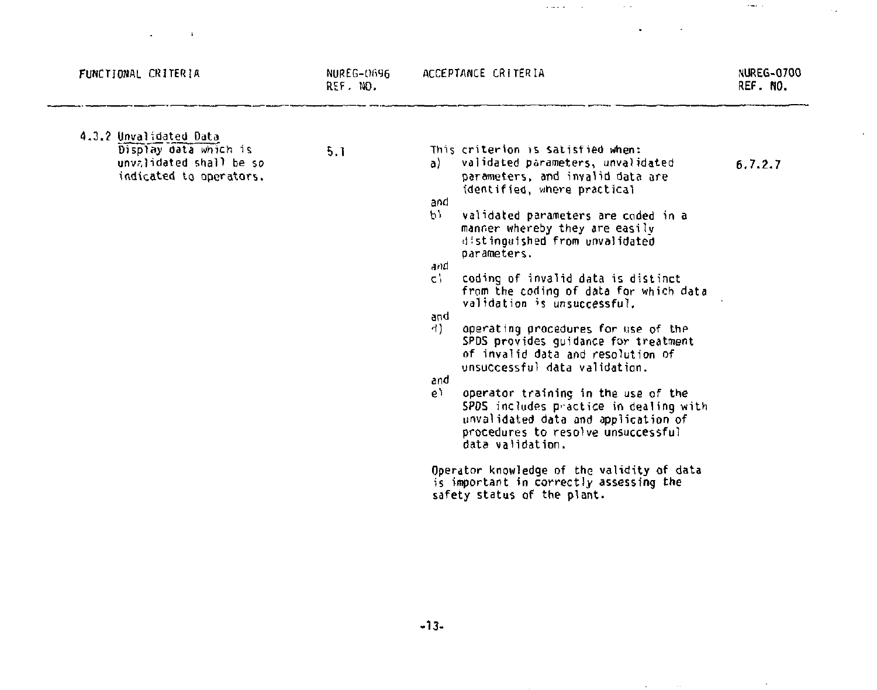| FUNCTIONAL CRITERIA                                                                                   | NUREG-0696<br>REF. ND. | ACCEPTANCE CRITERIA                                                                                                                                                                                                                                                                                                                                                                                                                                                                                                                                                                                                                                                                                                                                                                                                                                                                                            | <b>NUREG-0700</b><br>REF. NO. |
|-------------------------------------------------------------------------------------------------------|------------------------|----------------------------------------------------------------------------------------------------------------------------------------------------------------------------------------------------------------------------------------------------------------------------------------------------------------------------------------------------------------------------------------------------------------------------------------------------------------------------------------------------------------------------------------------------------------------------------------------------------------------------------------------------------------------------------------------------------------------------------------------------------------------------------------------------------------------------------------------------------------------------------------------------------------|-------------------------------|
| 4.3.2 Unvalidated Data<br>Display data which is<br>unvalidated shall be so<br>indicated to operators. | 5.1                    | This criterion is Satisfied when:<br>validated parameters, unvalidated<br>a).<br>parameters, and invalid data are<br>identified, where practical<br>and<br>b).<br>validated parameters are coded in a<br>manner whereby they are easily<br>distinguished from unvalidated<br>parameters.<br>and<br>c).<br>coding of invalid data is distinct<br>from the coding of data for which data<br>validation is unsuccessful.<br>bn6<br>4)<br>operating procedures for use of the<br>SPDS provides quidance for treatment<br>of invalid data and resolution of<br>unsuccessful data validation.<br>and<br>e١<br>operator training in the use of the<br>SPDS includes practice in dealing with<br>unvalidated data and application of<br>procedures to resolve unsuccessful<br>data validation.<br>Operator knowledge of the validity of data<br>is important in correctly assessing the<br>safety status of the plant. | 6.7.2.7                       |

 $\sim 10^{11}$  and  $\sim 10^{11}$ 

**Sales Control** 

 $\sim$  10  $\sigma$  $\mathbf{v}$  $\sim 10^{-1}$  km  $^{-1}$  the control of the control of the con-

 $\sim$   $\kappa$ 

 $\bar{\mathcal{A}}$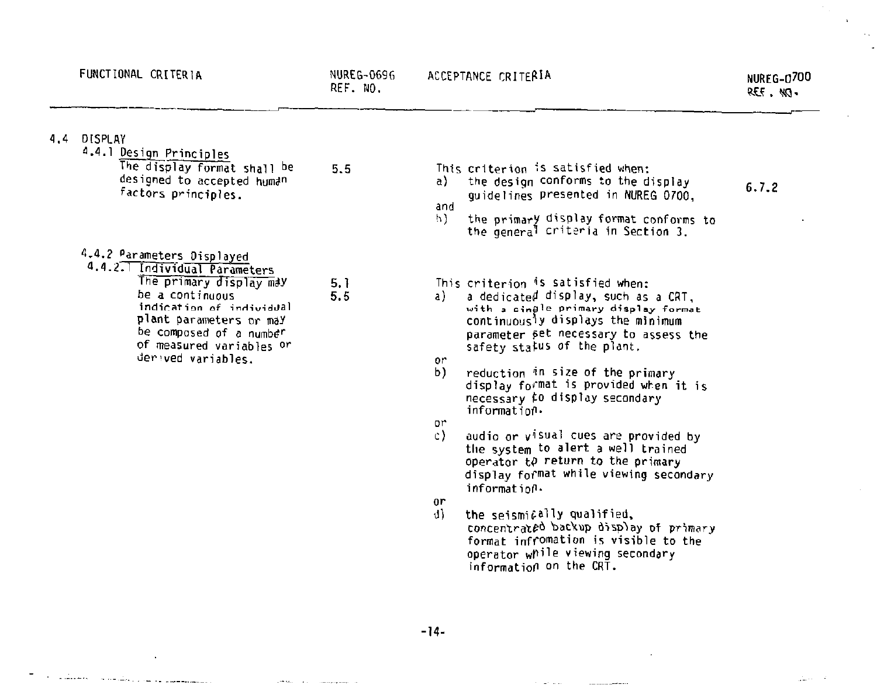4.

 $\overline{\phantom{a}}$ 

 $\mathcal{A}_{\mathcal{A}}$  $\epsilon$ 

 $\sim 10^{-1}$ 

| 4 | DISPLAY<br>4.4.1 Design Principles<br>The display format shall be<br>designed to accepted human<br>factors principles.                                                                                                                        | 5.5        | a)<br>and                               | This criterion is satisfied when:<br>the design conforms to the display<br>quidelines presented in NUREG 0700.                                                                                                                                                                                                                                                                                                                                                                                                                                                                                                                                                                                                           | 6.7.2 |  |
|---|-----------------------------------------------------------------------------------------------------------------------------------------------------------------------------------------------------------------------------------------------|------------|-----------------------------------------|--------------------------------------------------------------------------------------------------------------------------------------------------------------------------------------------------------------------------------------------------------------------------------------------------------------------------------------------------------------------------------------------------------------------------------------------------------------------------------------------------------------------------------------------------------------------------------------------------------------------------------------------------------------------------------------------------------------------------|-------|--|
|   |                                                                                                                                                                                                                                               |            | 5).                                     | the primary display format conforms to<br>the general criteria in Section 3.                                                                                                                                                                                                                                                                                                                                                                                                                                                                                                                                                                                                                                             |       |  |
|   | 4.4.2 Parameters Displayed<br>4.4.2.1 Individual Parameters<br>The primary display may<br>be a continuous<br>indication of individual<br>plant parameters or may<br>be composed of a number<br>of measured variables or<br>derived variables. | 5.1<br>5.5 | a)<br>or<br>b)<br>or<br>c)<br>or<br>d). | This criterion is satisfied when:<br>a dedicated display, such as a CRT.<br>with a cingle primary display format<br>continuously displays the minimum<br>parameter set necessary to assess the<br>safety status of the plant.<br>reduction in size of the primary<br>display format is provided when it is<br>necessary ¢0 display secondary<br>information.<br>audio or visual cues are provided by<br>the system to alert a well trained<br>operator to return to the primary<br>display format while viewing secondary<br>information.<br>the seismically qualified.<br>concentrated backup display of primary<br>format infromation is visible to the<br>operator while viewing secondary<br>information on the CRT. |       |  |

 $\blacksquare$ a participante de la construcción de la proposición de la construcción de la construcción de la construcción de

 $\Delta$ 

and the SAC contract communications of

 $\mathcal{J}_{\rm{max}}(x)=-\mathcal{J}_{\rm{max}}$ 

 $\epsilon$ 

 $\mathcal{C}^{\mathcal{A}}$  and  $\mathcal{C}^{\mathcal{A}}$  . The contraction of the contract of  $\mathcal{C}^{\mathcal{A}}$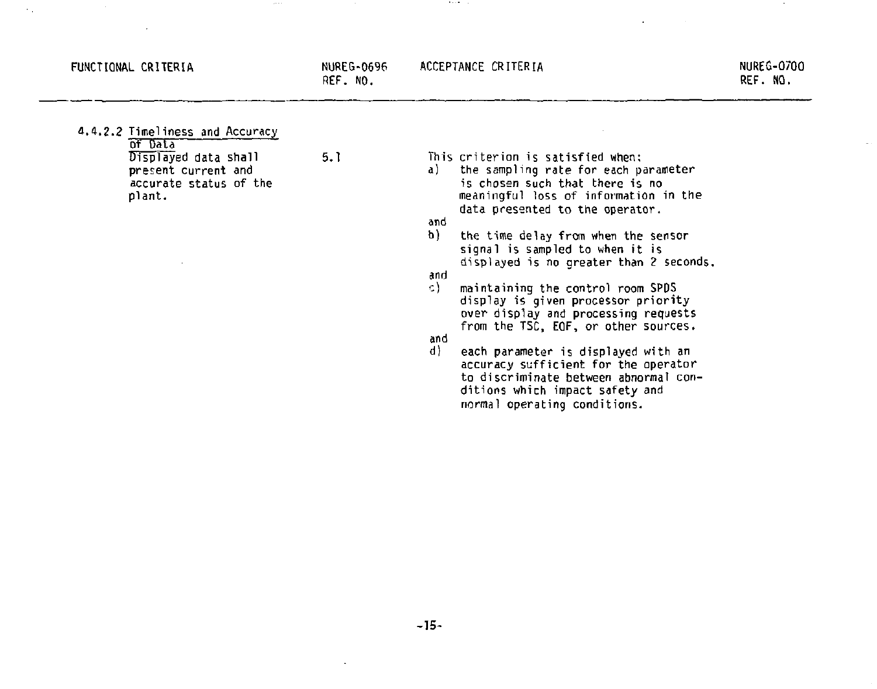### FUNCTIONAL CRITERIA NUREG-0696

**ACCEPTANCE CRITERIA NUREG-0700** 

**Bank Car** 

**REF. NO.** 

**REF. NO.** 

**d.4.2.2 Timeliness and Accuracy of Data Displayed data shall 5.1 present current and accurate status of the plant. This criterion is satisfied when: a) the sampling rate for each parameter is chosen such that there is no meaningful loss of information in the data presented to the operator. and b) the time delay from when the sensor signal is sampled to when it is displayed is no greater than** *2* **seconds. and**  *t)* **maintaining the control room SPDS display is given processor priority over display and processing requests from the TSC, EOF, or other sources. and d) each parameter is displayed with an accuracy sufficient for the operator to discriminate between abnormal conditions which impact safety and normal operating conditions.**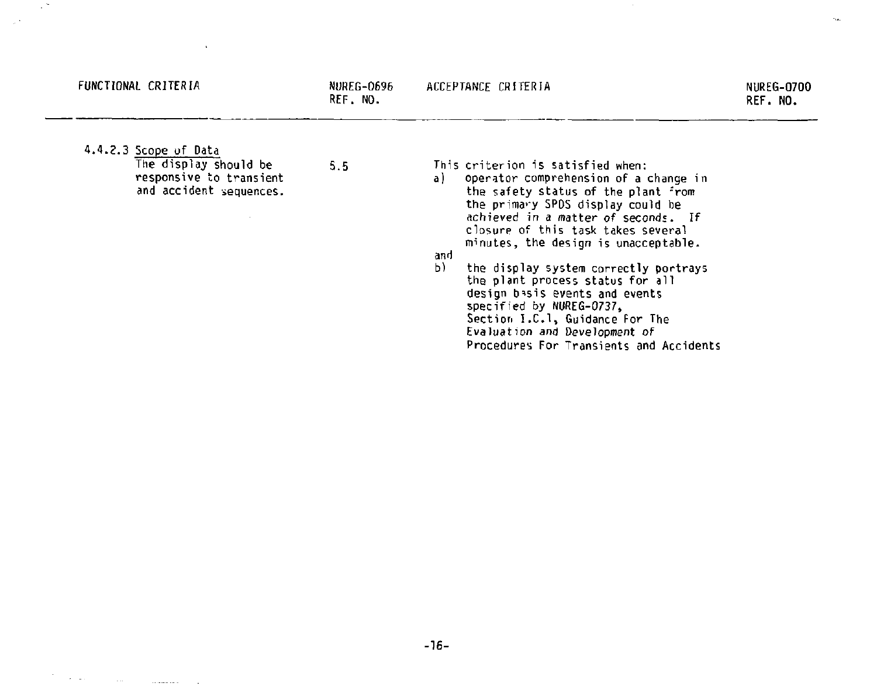| FUNCTIONAL CRITERIA                                                                                  | NUREG-0696<br>REF. NO. | ACCEPTANCE CRITERIA                                                                                                                                                                                                                                                                                                                                                                                                                                                                                                                                      | <b>NUREG-0700</b><br>REF. NO. |
|------------------------------------------------------------------------------------------------------|------------------------|----------------------------------------------------------------------------------------------------------------------------------------------------------------------------------------------------------------------------------------------------------------------------------------------------------------------------------------------------------------------------------------------------------------------------------------------------------------------------------------------------------------------------------------------------------|-------------------------------|
| 4.4.2.3 Scope of Data<br>The display should be<br>responsive to transient<br>and accident sequences. | 5.5                    | This criterion is satisfied when:<br>operator comprehension of a change in<br>al<br>the safety status of the plant from<br>the primary SPDS display could be<br>achieved in a matter of seconds. If<br>closure of this task takes several<br>minutes, the design is unacceptable.<br>and<br>b)<br>the display system correctly portrays<br>the plant process status for all<br>design basis events and events<br>specified by NUREG-0737.<br>Section I.C.1, Guidance For The<br>Evaluation and Development of<br>Procedures For Transients and Accidents |                               |

 $\bar{\mathbf{u}}$ 

 $\sim 17$ 

 $\sim 10^{11}$  km  $^{-1}$ 

 $\mathcal{F}^{\mathcal{F}}_{\mathcal{F}}$  , where  $\mathcal{F}^{\mathcal{F}}_{\mathcal{F}}$  and  $\mathcal{F}^{\mathcal{F}}_{\mathcal{F}}$  , assumed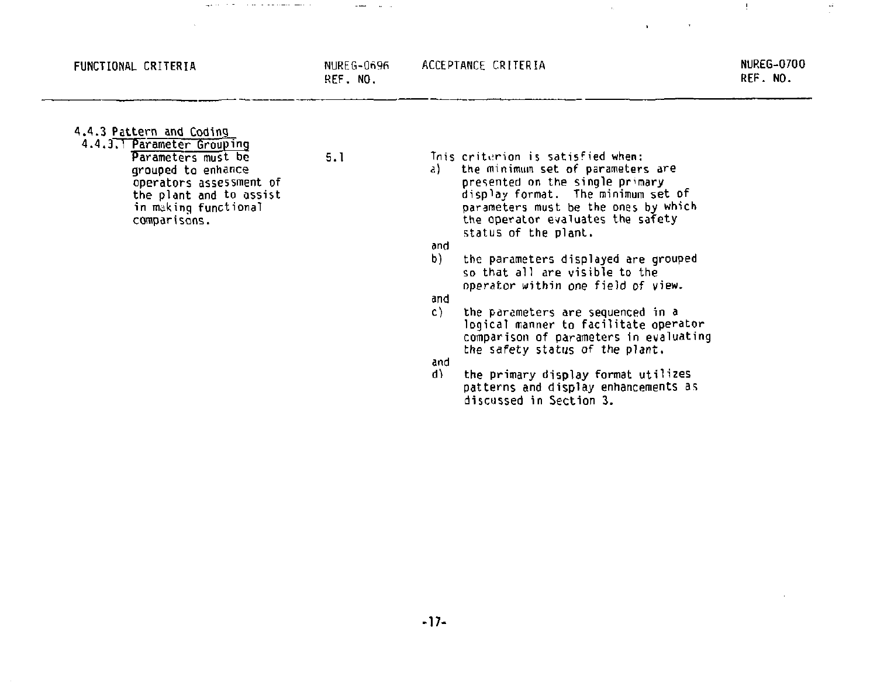#### **FUNCTIONAL CRITERIA** NUREG-0696

and the con-

**REF. NO.** 

 $\mathcal{A}$ 

 $-1$ 

**4.4.3 Pattern and Coding** 

**4.4.3.1 Parameter Grouping**  Parameters must be 5.1 **grouped to enhance operators assessment of the plant and to assist in making functional comparisons.** 

 $\alpha$  and  $\alpha$  is a sequence of the  $\alpha$ 

- **Tnis criterion is satisfied when:**
- **a) the minimum set of parameters are presented on the single primary display format. The minimum set of parameters must be the ones by which the operator evaluates the safety status of the plant.**

**and** 

**b) the parameters displayed are grouped so that all are visible to the operator within one field of view.** 

**and** 

the parameters are sequenced in a logical manner to facilitate operator comparison of parameters in evaluating the safety status of the plant.

and<br>d)

**dl the primary display format utilizes patterns and display enhancements as discussed in Section 3.**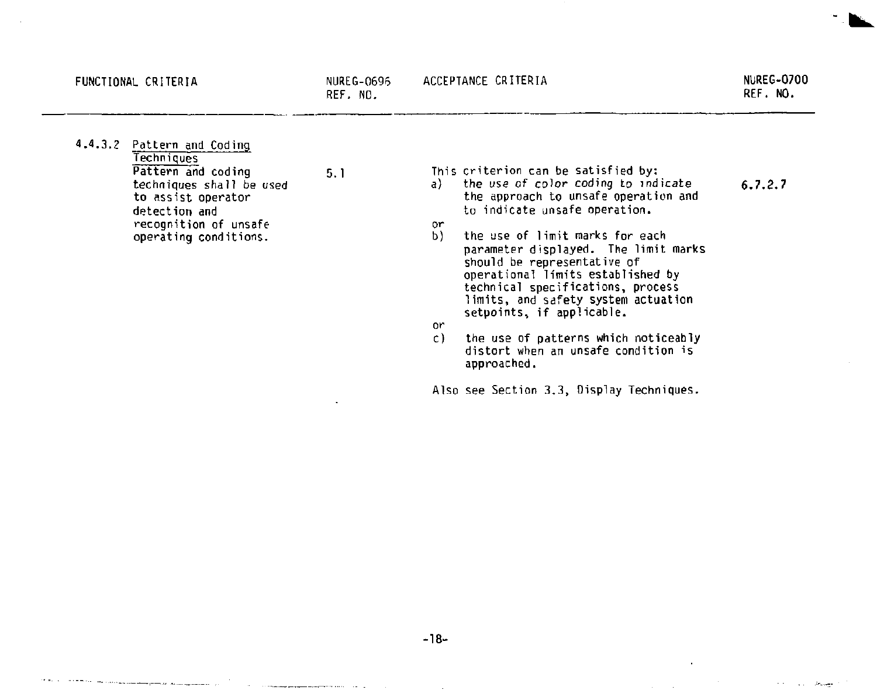the contract of the contracts considering product of the case

6.7.2.7

**Communications** 

1.4.3.2 Pattern and Coding **Techniques** Pattern and coding techniques shall be used to assist operator detection and recognition of unsafe operating conditions.

5.1 This criterion can be satisfied by: a) the use of color *coding* to indicate

- the approach to unsafe operation and to indicate unsafe operation.
- or
- the use of limit marks for each parameter displayed. The limit marks should be representative of operational limits established by technical specifications, process limits, and safety system actuation setpoints, if applicable.
- or<br>c)
- the use of patterns which noticeably distort when an unsafe condition is approached.

Also see Section 3.3, Display Techniques.

-18-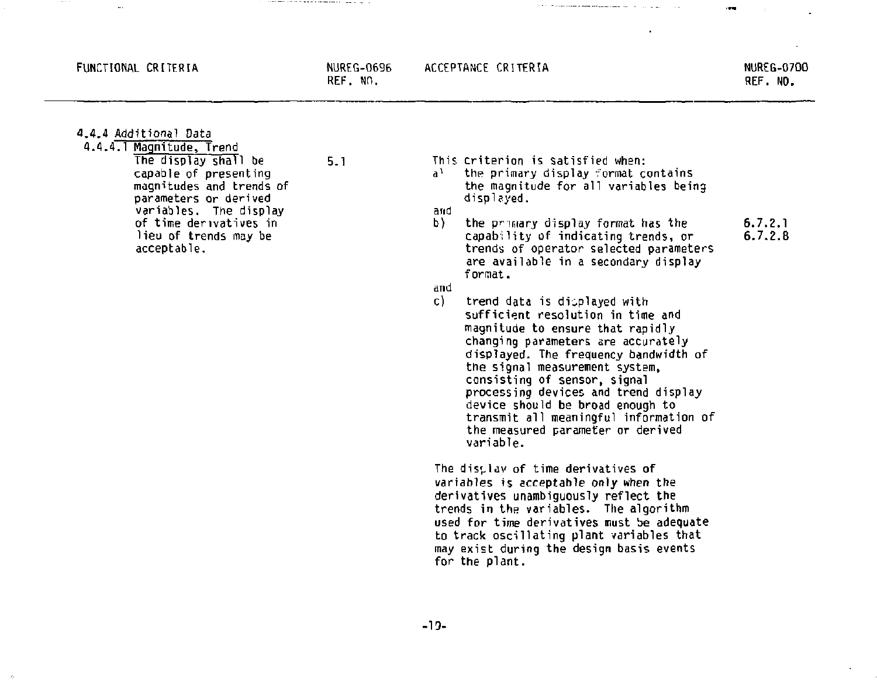#### FUNCTIONAL CRITERIA NUREG-0696

**ACCEPTANCE CRITERIA NUREG-0700** 

**REF. NO.** 

**REF. NO.** 

**4.4.4 Additional Data** 

**4.1.4.1 Magnitude, Trend** 

comes some control of the second and the components of the components of the control of

**The display shall be 5.1 capable of presenting magnitudes and trends of parameters or derived variables. The display of time derivatives in lieu of trends may be acceptable.** 

**This criterion is satisfied when:** 

**a <sup>1</sup> the primary display format contains the magnitude for all variables being displayed,** 

**and** 

**b** the primary display format has the 6.7.2.1 **capability** of indicating trends, or 6.7.2.8 **capability of indicating trends, or 6.7.2.8 trends of operator selected parameters are available in a secondary display format.** 

the communication of the communication of the communication of the communication of the communication of the communication of the communication of the communication of the communication of the communication of the communic

**and** 

**c) trend data is displayed with sufficient resolution in time and magnitude to ensure that rapidly changing parameters are accurately displayed. The frequency bandwidth of the signal measurement system, consisting of sensor, signal processing devices and trend display device should be broad enough to transmit all meaningful information of the measured parameter or derived variable.** 

**The display of time derivatives of variables is acceptable only when the derivatives unambiguously reflect the trends in the variables. The algorithm used for time derivatives must be adequate to track oscillating plant variables that may exist during the design basis events for the plant.**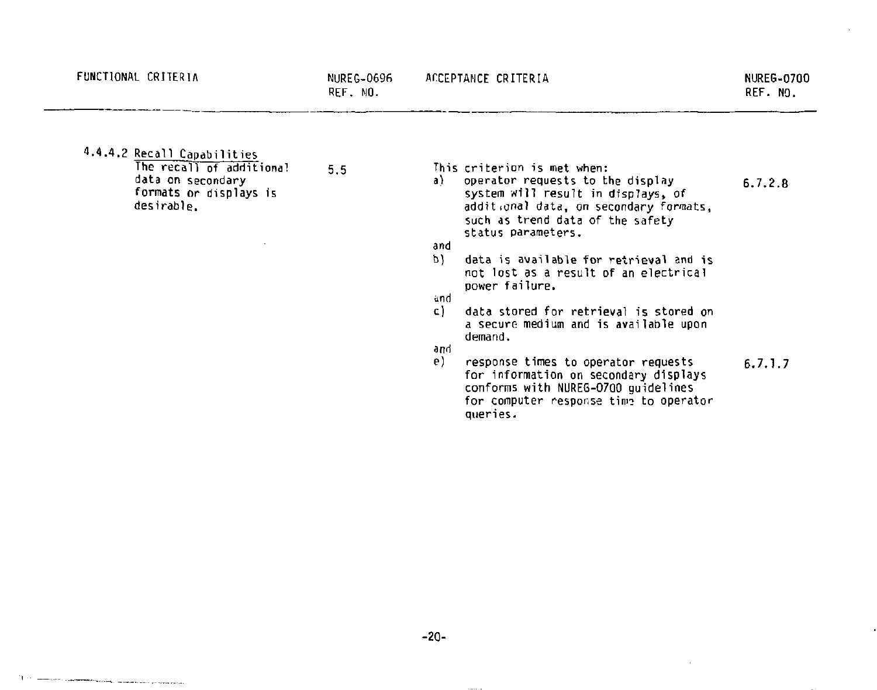4.4.4.2 Recall Capabilities

The recall of additional 5.5 data on secondary formats or displays is desirable .

**This criterion is met when: a) operator requests to the display 6.7.2.8 system will result in displays, of additional data, on secondary formats, such as trend data of the safety** 

**status parameters, and** 

- **h) data is available for retrieval and is not lost as a result of an electrical power failure.**
- and<br>c1 **c) data stored for retrieval is stored on a secure medium and is available upon demand,**

**and** 

response times to operator requests 6.7.1.7 **for information on secondary displays conforms with NUREG-0700 guidelines**  for computer response time to operator **queries.**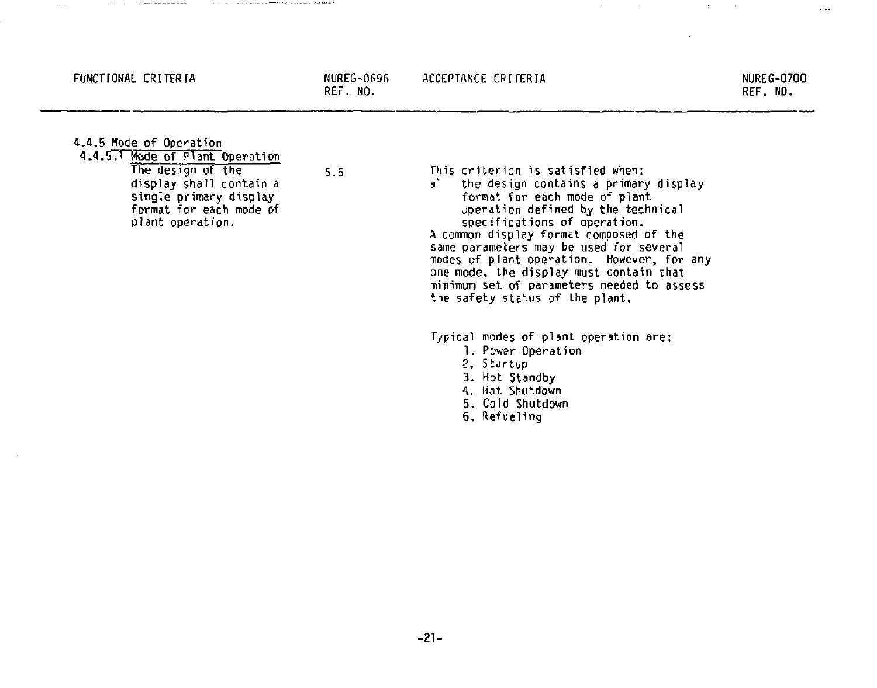### **FUNCTIONAL CRITERIA NUREG-0696**

**REF. NO.** 

REF. NO.

**4.a.5 Mode of Operation** 

**4.4.5.1 Mode of Plant Operation**  The design of the 5.5 **display shall contain a single primary display format for each mode of plant operation.** 

This criterion is satisfied when: al the design contains a primary display format for each mode of plant jperation defined by the technical specifications of operation. A common display format composed of the same parameters may be used for several

modes of plant operation. However, for any one mode, the display must contain that minimum set of parameters needed to assess the safety status of the plant.

Typical modes of plant operation are:

- 1. Power Operation
- ?. Startup
- **3. Hot Standby**
- **4. hot Shutdown**
- **5. Cold Shutdown**
- **6. Refueling**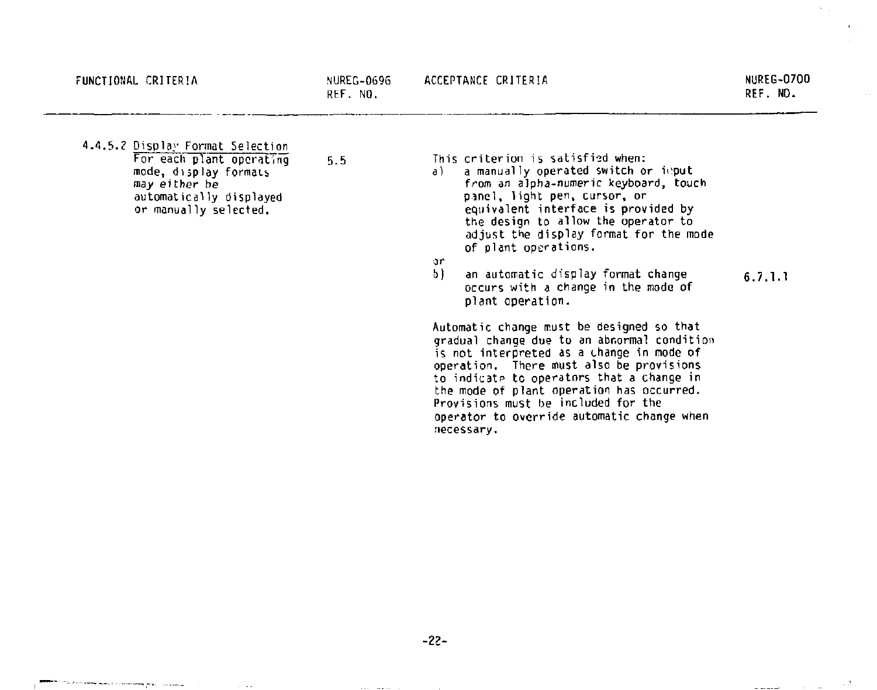and and analysis of the control of the con-

**4.4.5.? Display Format Selection For each plant operating 5.5 mode, display formats**  *may* **either be automatically displayed or manually selected.** 

**This criterion is satisfied when:** 

**a) a manually operated switch or irput**  *from* **an alpha-numeric keyboard, touch pinel, light pen, cursor, or equivalent interface is provided by the design to allow the operator to adjust the display format for the mode of plant operations.** 

*or* 

an automatic display format change 6.7.1.1 **occurs with a change in the mode of plant operation.** 

**Automatic change must be designed so that gradual change due to an abnormal condition is not interpreted as a change in mode of operation. There must also be provisions to indicate to operators that a change in the mode of plant operation has occurred. Provisions must be included for the operator to override automatic change when necessary.** 

**-22-**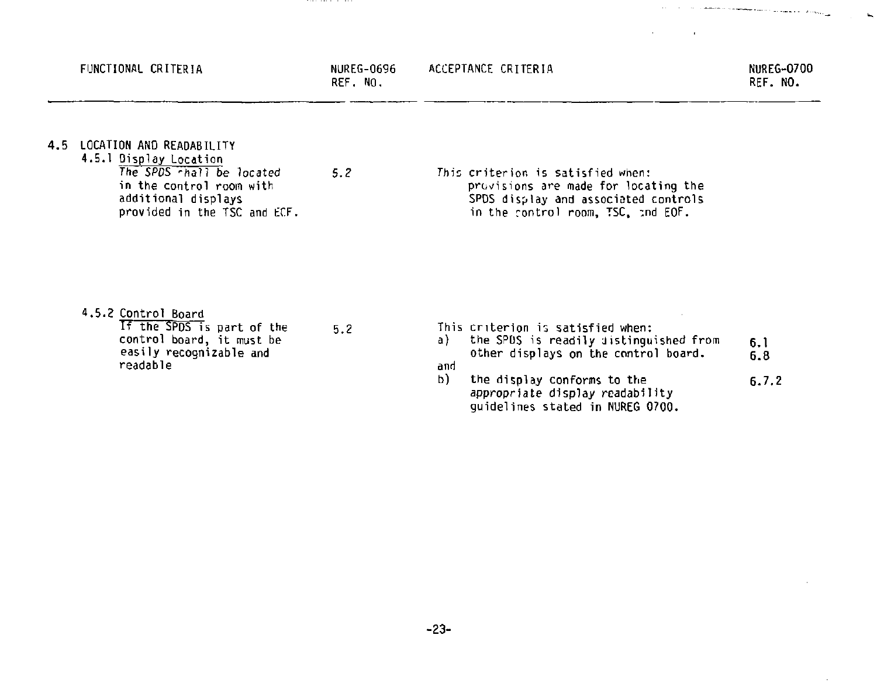|     | FUNCTIONAL CRITERIA                                                                                                                                                | NUREG-0696<br>REF. NO. | ACCEPTANCE CRITERIA                                                                                                                                                                                                                          | <b>NUREG-0700</b><br>REF. NO. |
|-----|--------------------------------------------------------------------------------------------------------------------------------------------------------------------|------------------------|----------------------------------------------------------------------------------------------------------------------------------------------------------------------------------------------------------------------------------------------|-------------------------------|
| 4.5 | LOCATION AND READABILITY<br>4.5.1 Display Location<br>The SPDS chall be located<br>in the control room with<br>additional displays<br>provided in the TSC and ECF. | 5.2                    | This criterion is satisfied when:<br>provisions are made for locating the<br>SPDS display and associated controls<br>in the control room, TSC, and EOF.                                                                                      |                               |
|     | 4.5.2 Control Board<br>If the SPDS is part of the<br>control board, it must be<br>easily recognizable and<br>readable                                              | 5.2                    | This criterion is satisfied when:<br>the SPDS is readily distinguished from<br>a)<br>other displays on the control board.<br>and<br>b)<br>the display conforms to the<br>appropriate display readability<br>quidelines stated in NUREG 0700. | 6.1<br>6.8<br>6.7.2           |

 $\mathcal{L}_{\rm{max}}$  , and the constraint of the contract of the contract of the contract of the contract of the contract of the contract of the contract of the contract of the contract of the contract of the contract of the con

 $\sim$ 

 $\sim$ 

 $\sim$ 

 $\overline{a}$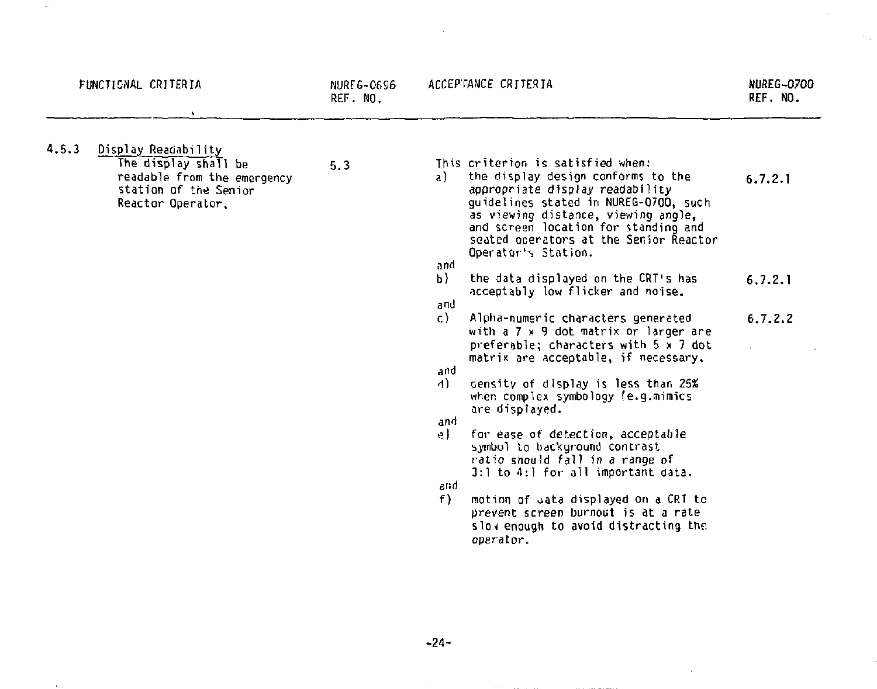| FUNCTIONAL CRITERIA                                                                                                               | NUREG-0696<br>REF. NO. | ACCEPTANCE CRITERIA                                                                                                                                                                                                                                                                                                                                                                                                                                                                                                                                                                                                                                                                                                                                                                                                                                                                                                                                                                                                   | <b>NUREG-0700</b><br>REF. NO.    |  |
|-----------------------------------------------------------------------------------------------------------------------------------|------------------------|-----------------------------------------------------------------------------------------------------------------------------------------------------------------------------------------------------------------------------------------------------------------------------------------------------------------------------------------------------------------------------------------------------------------------------------------------------------------------------------------------------------------------------------------------------------------------------------------------------------------------------------------------------------------------------------------------------------------------------------------------------------------------------------------------------------------------------------------------------------------------------------------------------------------------------------------------------------------------------------------------------------------------|----------------------------------|--|
| 4.5.3<br>Display Readability<br>The display shall be<br>readable from the emergency<br>station of the Senior<br>Reactor Operator. | 5.3                    | This criterion is satisfied when:<br>the display design conforms to the<br>a)<br>appropriate display readability<br>quidelines stated in NUREG-0700, such<br>as viewing distance, viewing angle,<br>and screen location for standing and<br>seated operators at the Semior Reactor<br>Operator's Station.<br>and<br>b)<br>the data displayed on the CRT's has<br>acceptably low flicker and noise.<br>and<br>C)<br>Alpha-numeric characters generated<br>with a 7 x 9 dot matrix or larger are<br>preferable; characters with $5 \times 7$ dot<br>matrix are acceptable, if necessary,<br>and<br>4).<br>density of display is less than 25%<br>when complex symbology (e.g.mimics<br>are displayed.<br>and<br>for ease of detection, acceptable<br>e).<br>symbol to background contrast<br>ratio should fall in a range of<br>$3:1$ to $4:1$ for all important data.<br>and<br>f)<br>motion of cata displayed on a CRT to<br>prevent screen burnout is at a rate<br>slow enough to avoid distracting the<br>operator. | 6.7.2.1<br>6, 7, 2, 1<br>6.7.2.2 |  |
|                                                                                                                                   |                        |                                                                                                                                                                                                                                                                                                                                                                                                                                                                                                                                                                                                                                                                                                                                                                                                                                                                                                                                                                                                                       |                                  |  |

 $\hat{\boldsymbol{\beta}}$ 

J.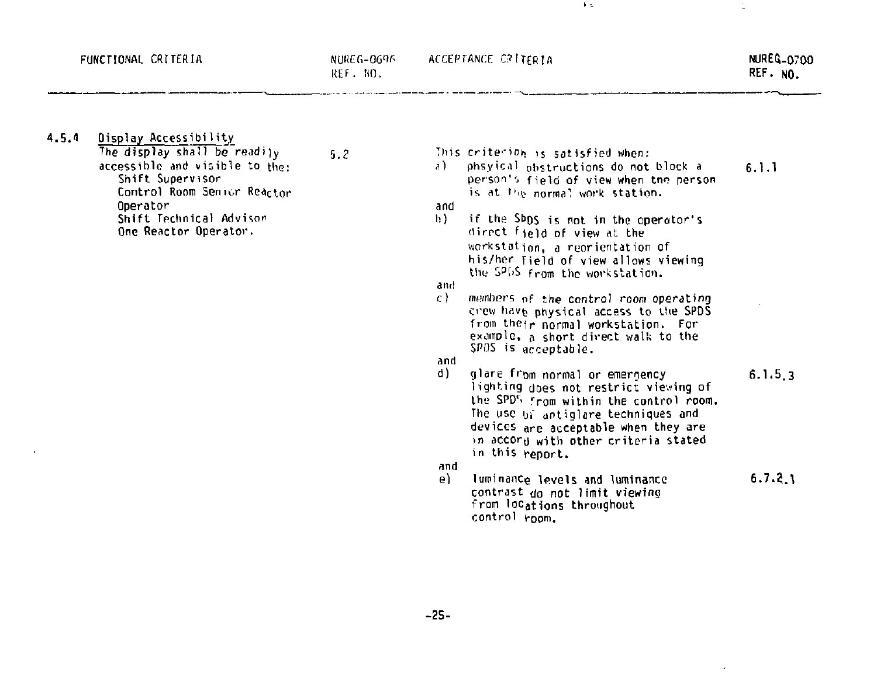**4.5.1 Oisplay Accessibility** 

The display shall be readily  $5.2$ **accessible and visible to the: Shift Supervisor**  Control Room Senior Reactor **Operator Shift Technical Advisor One Reactor Operator.** 

**This crite'-ioh j <sup>s</sup> satisfied when: a) phsyical obstructions do not block a 6.1.1 person's field of view when tno person is at "it normal work station,** 

 $\ddot{\phantom{a}}$ 

# **and**

**h) if the Sbos is not in the operator's direct field of view at the workstation, a reorientation of his/her field of view allows viewing the SP[iS from the workstation,** 

**and** 

**c) members nf the control room operating crew ha»6 physical access to the SPOS from their normal workstation. For example, a short direct walk to the SPDS is acceptable.** 

**and** 

**d) glare from normal or emergency 6.1.5.3 lighting joes not restrict viewing of the SPD'> from within the control room. The use<sup>u</sup> f antiglare techniques and**  devices are acceptable when they are **in accory with other criteria Stated in this report,** 

**and** 

**e) luminance levels and luminance 6.7.?.l contrast** do not limit viewing **from locations throughout control v-oom.**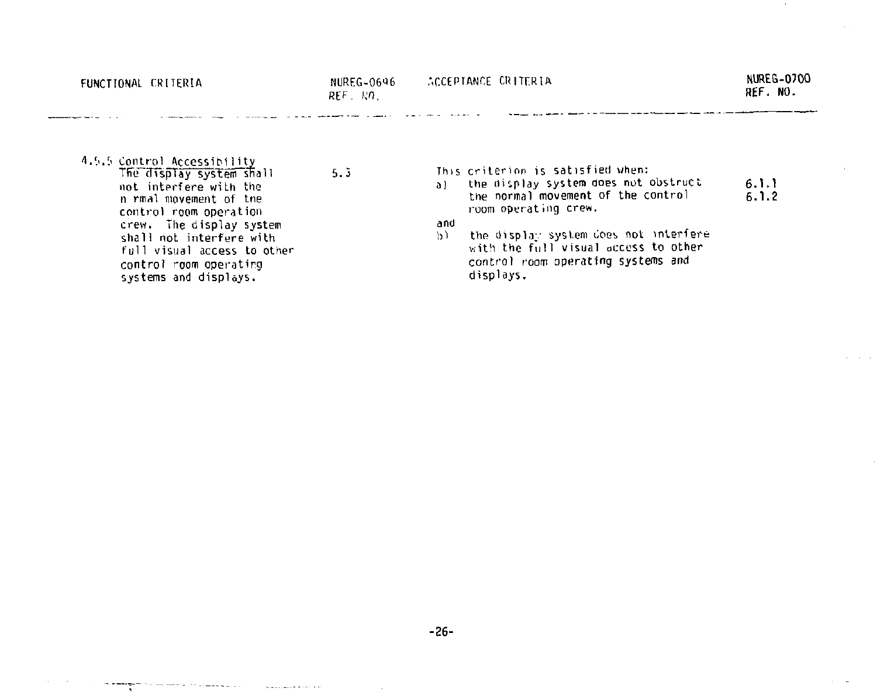| FUNCTIONAL CRITERIA                                                                                                                                                                                                                                                             | NUREG-0696<br>$RFF - k\Omega$ . | ACCEPTANCE CRITERIA                                                                                                                                                                                                                                                                            | NUREG-0700<br>REF. NO. |
|---------------------------------------------------------------------------------------------------------------------------------------------------------------------------------------------------------------------------------------------------------------------------------|---------------------------------|------------------------------------------------------------------------------------------------------------------------------------------------------------------------------------------------------------------------------------------------------------------------------------------------|------------------------|
| 4.5.5 Control Accessibility<br>The display system shall<br>not interfere with the<br>n rmal movement of the<br>control room operation<br>crew. The display system<br>shall not interfere with<br>full visual access to other<br>control room operating<br>systems and displays. | 5.3                             | This criterion is satisfied when:<br>the display system does not obstruct<br>a)<br>the normal movement of the control<br>room operating crew.<br>and<br>the display system does not interfere<br>b)<br>with the full visual access to other<br>control room operating systems and<br>displays. | 6.1.1<br>6.1.2         |

 $\sim$ 

-26-

the companion of the con-

 $\mathcal{L}_{\text{max}}(\mathcal{L}_{\text{max}}) = \mathcal{L}_{\text{max}}(\mathcal{L}_{\text{max}})$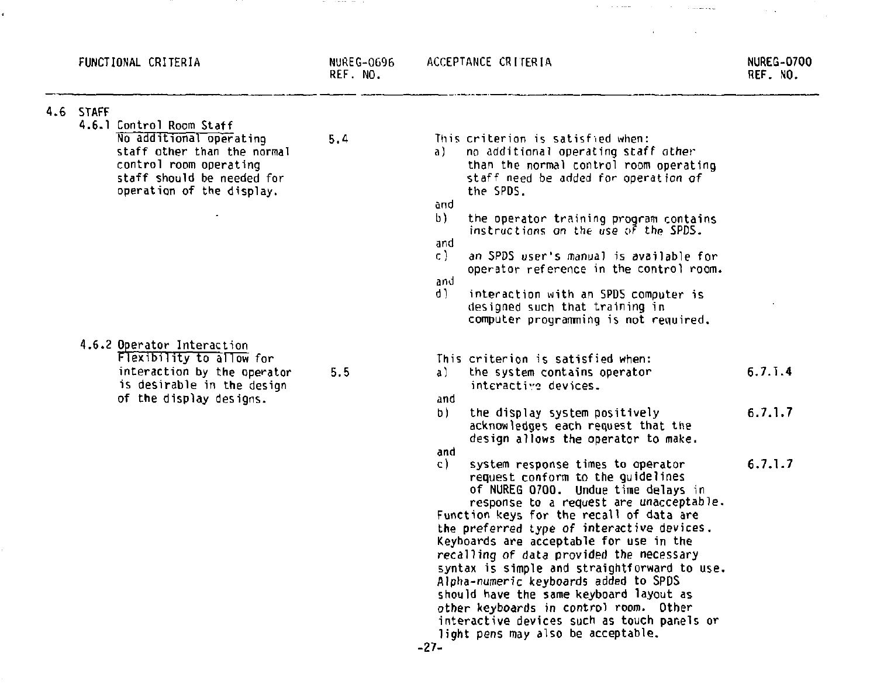| FUNCTIONAL CRITERIA                                                                                                                                                                  | NUREG-0696<br>REF. NO. | ACCEPTANCE CRITERIA                                                                                                                                                                                                                                                                                                                                                                                                                                                                                                                                                                                                                                                                                                                                                                                                                                      | NUREG-0700<br>REF. NO.        |
|--------------------------------------------------------------------------------------------------------------------------------------------------------------------------------------|------------------------|----------------------------------------------------------------------------------------------------------------------------------------------------------------------------------------------------------------------------------------------------------------------------------------------------------------------------------------------------------------------------------------------------------------------------------------------------------------------------------------------------------------------------------------------------------------------------------------------------------------------------------------------------------------------------------------------------------------------------------------------------------------------------------------------------------------------------------------------------------|-------------------------------|
| 4.6 STAFF<br>4.6.1 Control Room Staff<br>No additional operating<br>staff other than the normal<br>control room operating<br>staff should be needed for<br>operation of the display. | 5.4                    | This criterion is satisfied when:<br>no additional operating staff other<br>a).<br>than the normal control room operating<br>staff need be added for operation of<br>the SPDS.<br>and<br>b)<br>the operator training program contains<br>instructions on the use of the SPDS.<br>and<br>c).<br>an SPDS user's manual is available for<br>operator reference in the control room.<br>and<br>d).<br>interaction with an SPDS computer is<br>designed such that training in<br>computer programming is not required.                                                                                                                                                                                                                                                                                                                                        |                               |
| 4.6.2 Operator Interaction<br>Flexibility to allow for<br>interaction by the operator<br>is desirable in the design<br>of the display designs.                                       | 5.5                    | This criterion is satisfied when:<br>the system contains operator<br>a)<br>interactive devices.<br>and<br>b)<br>the display system positively<br>acknowledges each request that the<br>design allows the operator to make.<br>and<br>c).<br>system response times to operator<br>request conform to the quidelines<br>of NUREG 0700. Undue time delays in<br>response to a request are unacceptable.<br>Function keys for the recall of data are<br>the preferred type of interactive devices.<br>Keyboards are acceptable for use in the<br>recalling of data provided the necessary<br>syntax is simple and straightforward to use.<br>Alpha-numeric keyboards added to SPDS<br>should have the same keyboard layout as<br>other keyboards in control room. Other<br>interactive devices such as touch panels or<br>light pens may also be acceptable. | 6.7.1.4<br>6.7.1.7<br>6.7.1.7 |

 $\mathcal{O}(1)$  . The contract of the contract of the contract of the contract of the contract of the contract of the contract of the contract of the contract of the contract of the contract of the contract of the contract of

 $\mathcal{L}^{\mathcal{L}}(\mathcal{L}^{\mathcal{L}})$  . The contribution of  $\mathcal{L}^{\mathcal{L}}(\mathcal{L}^{\mathcal{L}})$ 

the contract of the contract of the

the contract of the con-

¥.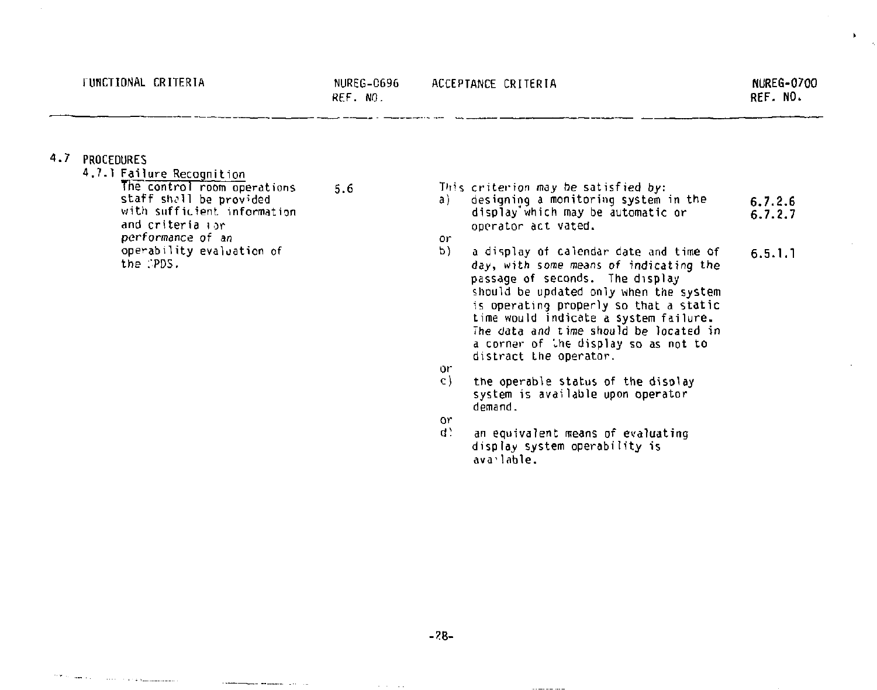$\mathbf{r}$ 

### **4.7 PROCEDURES**

 $\Omega(\Psi, \mathcal{H})$  and  $\mathcal{H}(\mathcal{H})$  . The contract of the function of the  $\mathcal{H}$ 

**4.7.1 <u>Failure Recognition</u><br>
The control room operations 5.6<br>
staff shall be provided<br>
with sufficient information and criteria 1 or performance of an operability evaluation of**  the PDS. or<br>b

 $\sim$  0.000 minimum and analyzes of the  $\sim$ 

| a). | This criterion may be satisfied by:<br>designing a monitoring system in the<br>display which may be automatic or<br>operator act vated.                                                                                                                                                                                                                      | 6.7.2.6<br>6.7.2.7 |
|-----|--------------------------------------------------------------------------------------------------------------------------------------------------------------------------------------------------------------------------------------------------------------------------------------------------------------------------------------------------------------|--------------------|
| ٥r  |                                                                                                                                                                                                                                                                                                                                                              |                    |
| P)  | a display of calendar date and time of<br>day, with some means of indicating the<br>passage of seconds. The display<br>should be updated only when the system<br>is operating properly so that a static<br>time would indicate a system failure.<br>The data and time should be located in<br>a corner of ine display so as not to<br>distract the operator. | 6.5.1.1            |
| ٥r  |                                                                                                                                                                                                                                                                                                                                                              |                    |
| c)  |                                                                                                                                                                                                                                                                                                                                                              |                    |
|     | the operable status of the disolay<br>system is available upon operator<br>demand.                                                                                                                                                                                                                                                                           |                    |
| ٥r  |                                                                                                                                                                                                                                                                                                                                                              |                    |
| ď.  | an equivalent means of evaluating<br>display system operability is<br>ava lable.                                                                                                                                                                                                                                                                             |                    |

-----------

**-?8-**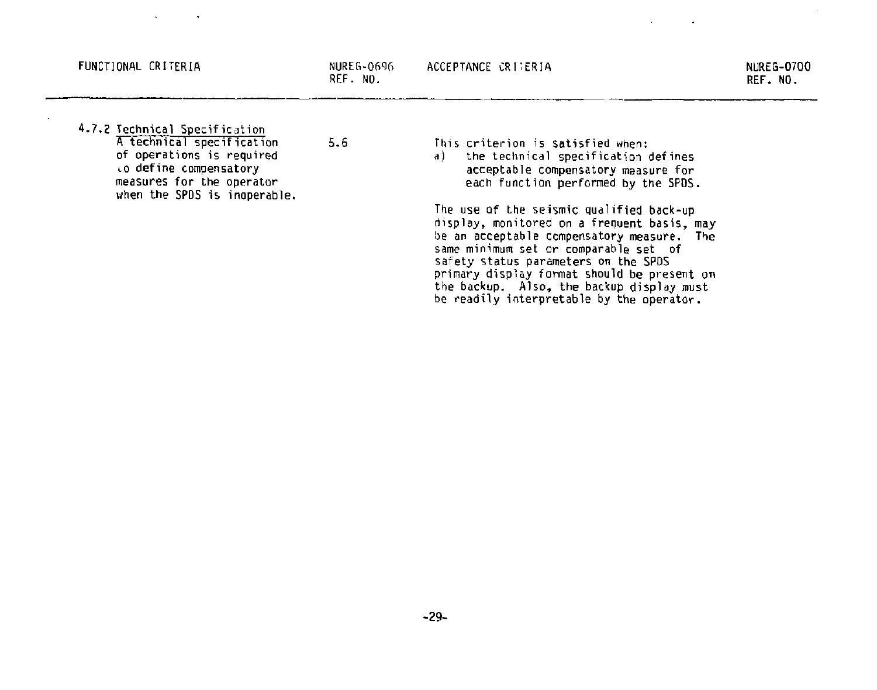#### **FUNCTIONAL CRITERIA** NUREG-0696

**REF. NO.** 

- **4.7.2 Technical Specification A technical specification 5.6 of operations is required to define compensatory measures for the operator when the SPDS is inoperable.** 
	-

**This criterion is satisfied when:** 

**a) the technical specification defines acceptable compensatory measure for each function performed by the SPDS.** 

**The use of the seismic qualified back-up display, monitored on a frequent basis, may be an acceptable compensatory measure. The same minimum set or comparable set of safety status parameters on the SPDS primary display format should be present on the backup. Also, the backup display must be readily interpretable by the operator.**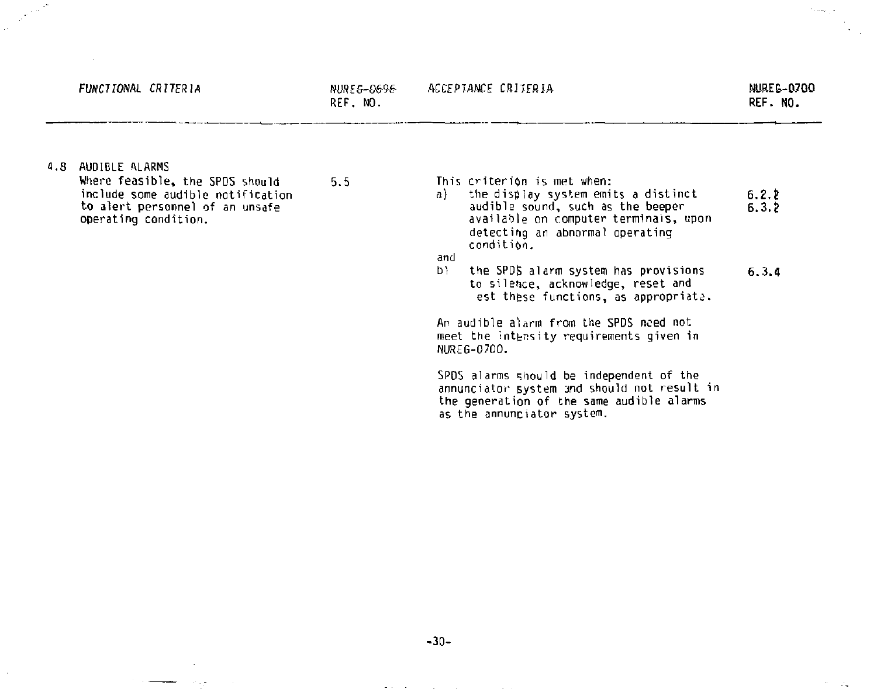### ACCEPTANCE CRITERIA NUREE-0700

REF. NO.

 $\mathcal{C}_{\mathcal{A},\mathcal{B},\mathcal{B},\mathcal{C},\mathcal{C}}$  .

4.8 AUDIBLE ALARMS

Where feasible, the SPDS should 5.5 include some audible notification to alert personnel of an unsafe operating condition .

This criterion is met when:

a) the display system emits a distinct 6.2.2<br>audible sound, such as the beeper 6.3.2 audible sound, such as the beeper available on computer terminals, upon detecting an abnormal operating condition,

and<br>b)

the SPDS alarm system has provisions 6.3.4 to silence, acknowledge, reset and est these functions, as appropriate.

An audible alarm from the SPDS need not meet the intensity requirements given in NUREG-0700.

SPDS alarms should be independent of the annunciator system and should not result in the generation of the same audible alarms as the annunciator system.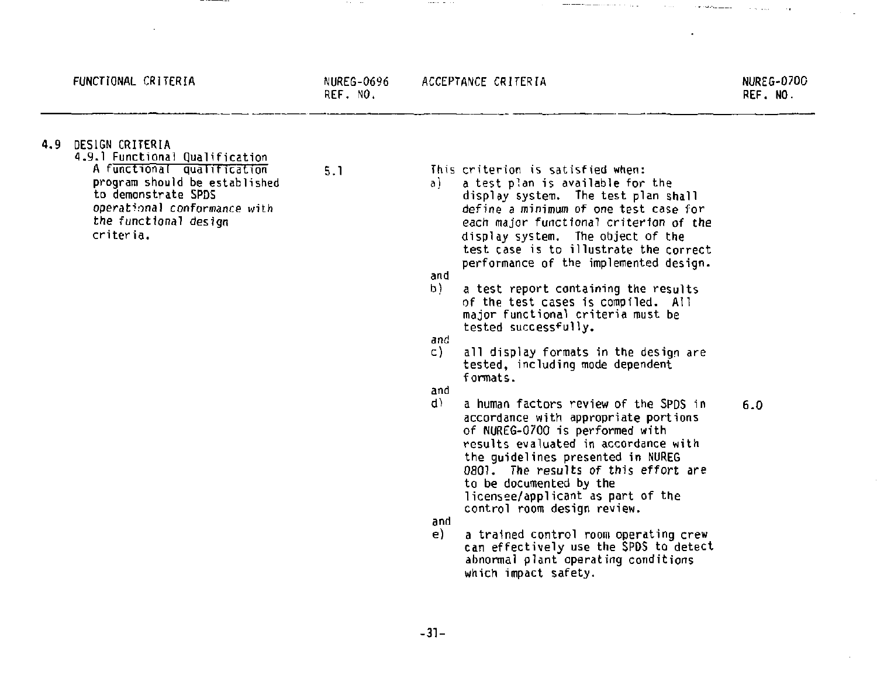**FUNCTIONAL CRITERIA NUREG-0696** 

**REF. NO.** 

and a state of the

**4.9 DESIGN CRITERIA** 

**1.9.1 Functional qualification A functional qualification 5.1 program should be established to demonstrate SPDS operational conformance with the functional design**  criteria.

**This criterion is satisfied when:** 

**a) a test plan is available for the display system. The test plan shall define a minimum of one test case for each major functional criterion of the display system. The object of the test case is to illustrate the correct performance of the implemented design.** 

the company and sound of the party

**and** 

 $\mathcal{L}(\mathcal{A}) = \mathcal{L}(\mathcal{A}) = \mathcal{L}(\mathcal{A}) = \mathcal{L}(\mathcal{A})$ 

- **b) a test report containing the results of the test cases is compiled. All major functional criteria must be tested successfully.**
- **and** 
	- **c) all display formats in the design are tested, including mode dependent formats.**

**and** 

- **d) a human factors review of the SPDS in 6.0 accordance with appropriate portions of NUREG-0700 is performed with results evaluated in accordance with the guidelines presented in NUREG 0801. The results of this effort are to be documented by the licensee/applicant as part of the control room design review,**
- **and**
- **e) a trained control room operating crew can effectively use the SPDS to detect abnormal plant operating conditions which impact safety.**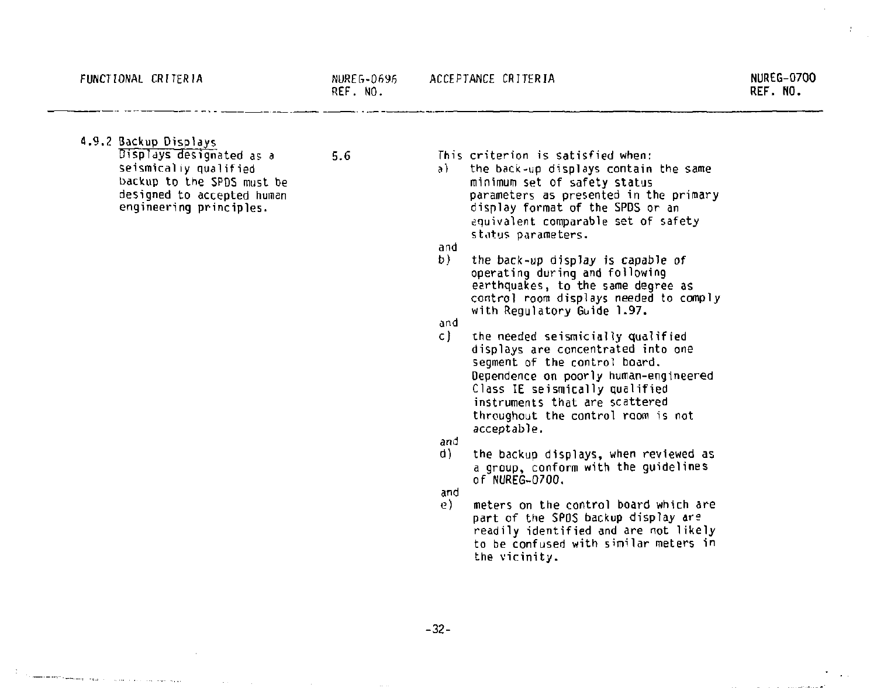the component component of the contract of the contract of the contract of the contract of the contract of the contract of the contract of the contract of the contract of the contract of the contract of the contract of the

 $\sim$   $\sim$ 

4.9.2 Backup Displays  $Displays$  designated as a  $5.6$ seismicaliy qualified backup to the SPDS must be designed to accepted human

engineering principles.

This criterion is satisfied when:

al the back-up displays contain the same minimum set of safety status parameters as presented in the primary display format of the SPDS or an equivalent comparable set of safety status parameters,

and<br>b)

*b)* the back-up display is capable of operating during and following earthquakes, to the same degree as control room displays needed to comply with Regulatory Guide 1.97.

and<br>c)

- c) the needed seismicially qualified displays are concentrated into one segment of the control board. Dependence on poorly human-engineered Class IE seismically qualified instruments that are scattered throughout the control room is not acceptable.
- and
	- the backup displays, when reviewed as a group, conform with the guidelines of NUREG-0700.
- and<br>e)
- meters on the control board which are part of the SPOS backup display are readily identified and are not likely to be confused with similar meters in the vicinity.

-32-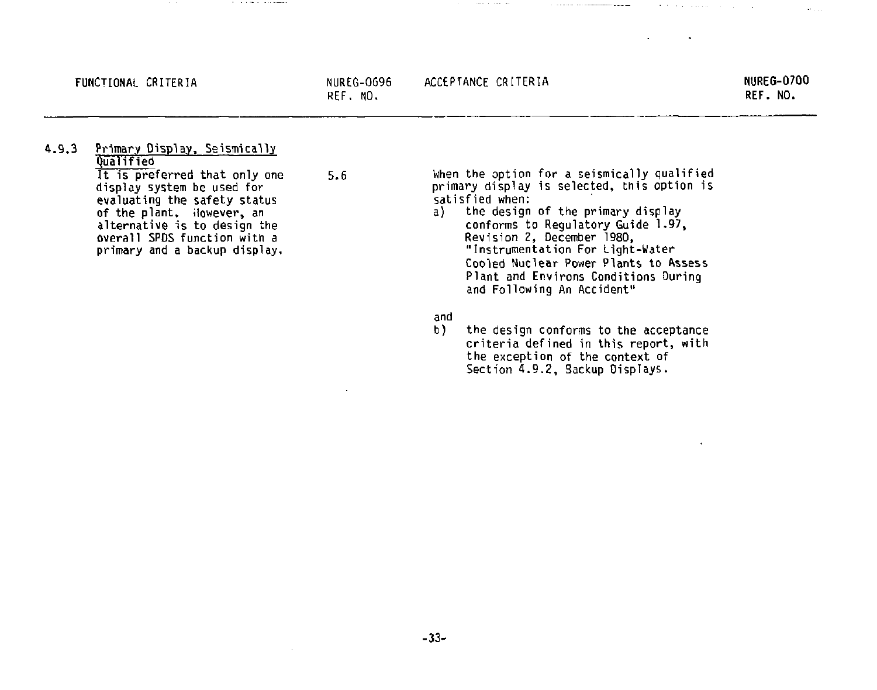**REF. NO.** 

#### **FUNCTIONAL CRITERIA NUREG-0696 ACCEPTANCE CRITERIA**

the component of the component

**NURES-0700 REF. NO.** 

 $\mathbf{r}$  .

the contract of the second contract of the

**4.9.3 Primary Display, Seismically Qualified It is preferred that only one 5.6** 

**display system be used for evaluating the safety status of the plant, ilowever, an alternative is to design the overall SPDS function with a primary and a backup display.** 

The contract of the contract of the con-

**When the option for a seismically qualified primary display is selected, this option is satisfied when:** 

**The Committee Committee Committee Committee** 

- **a) the design of the primary display conforms to Regulatory Guide 1.97, Revision** *2,* **December 1980, "Instrumentation For Light-Water Cooled Nuclear Power Plants to Assess Plant and Environs Conditions During and Following An Accident"**
- **and**
- **b) the design conforms to the acceptance criteria defined in this report, with the exception of the context of Section 4.9.2, Backup Displays.**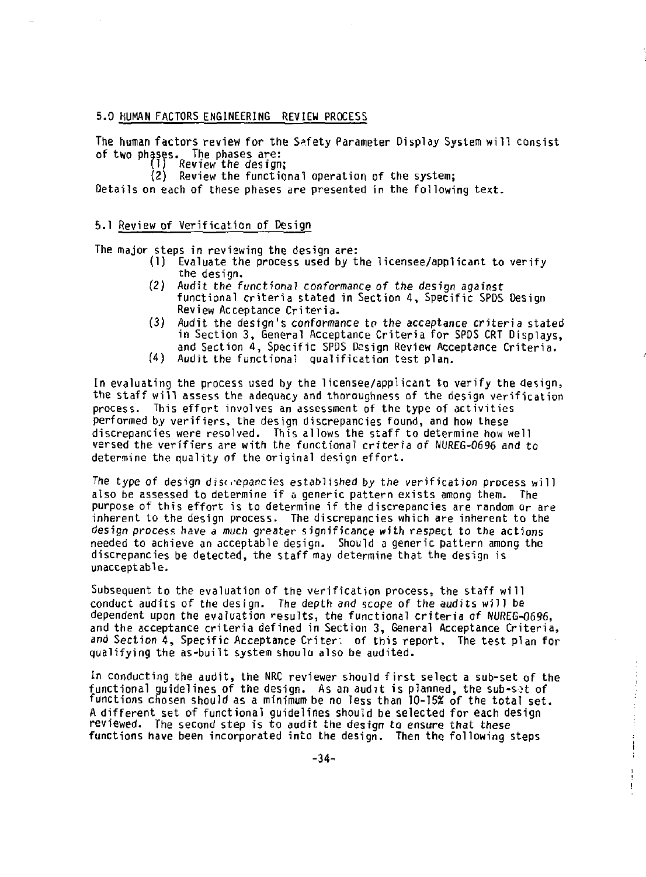### **5.0 HUMAN FACTORS ENGINEERING REVIEW PROCESS**

**The human factors review for the Safety Parameter Display System will consist of two phases. The phases are:** 

(2) Review the functional operation of the system;

Details on each of these phases are presented in the following text. **Details on each of these phases are presented in the following text.** 

### **5.1 Review of Verification of Design**

**The major steps in reviewing the design are:** 

- **(1) Evaluate the process used by the licensee/applicant to verify the design.**
- *(2)* **Audit the functional** *conformance of the* **design against functional criteria stated in Section 4, Specific SPDS Design Review Acceptance Criteria.**
- **(3) Audit the design's conformance to the acceptance criteria stated in Section 3, General Acceptance Criteria for SPDS CRT Displays, and Section 4, Specific SPDS Design Review Acceptance Criteria.**
- **(4) Audit the functional qualification test plan.**

**In evaluating the process used by the licensee/applicant to verify the design, the staff will assess the adequacy and thoroughness of the design verification process. This effort involves an assessment of the type of activities performed by verifiers, the design discrepancies found, and how these discrepancies were resolved. This allows the staff to determine how well versed the verifiers are with the functional criteria of NUREG-0696 and to determine the quality of the original design effort.** 

*The type of* **design discrepancies established by the verification process will also be assessed to determine if a generic pattern exists among them. The purpose of this effort is to determine if the discrepancies are random or are inherent to the design process. The discrepancies which are inherent to the design process have a much** *greater* **significance with respect to the actions needed to achieve an acceptable design. Should a generic pattern among the discrepancies be detected, the staff may determine that the design is unacceptable.** 

**Subsequent to the evaluation of the verification process, the staff will conduct audits of the design. The depth and scope of the audits will be dependent upon the evaluation results, the functional criteria of NUREG-0696, and the acceptance criteria defined in Section 3, General Acceptance Criteria, and Section 4, Specific Acceptance Criter, of this report. The test plan for qualifying the as-built system should also be audited.** 

**In conducting the audit, the NRC reviewer should first select a sub-set of the functional guidelines of the design. As an audit is planned, the sub-sot of functions chosen should as a minimum be no less than 10-15% of the total set. A different set of functional guidelines should be selected for each design reviewed. The second step is to audit the design to ensure that these functions have been incorporated into the design. Then the following steps** 

 $\frac{1}{2}$ Ŧ Ť

 $\mathbf{I}$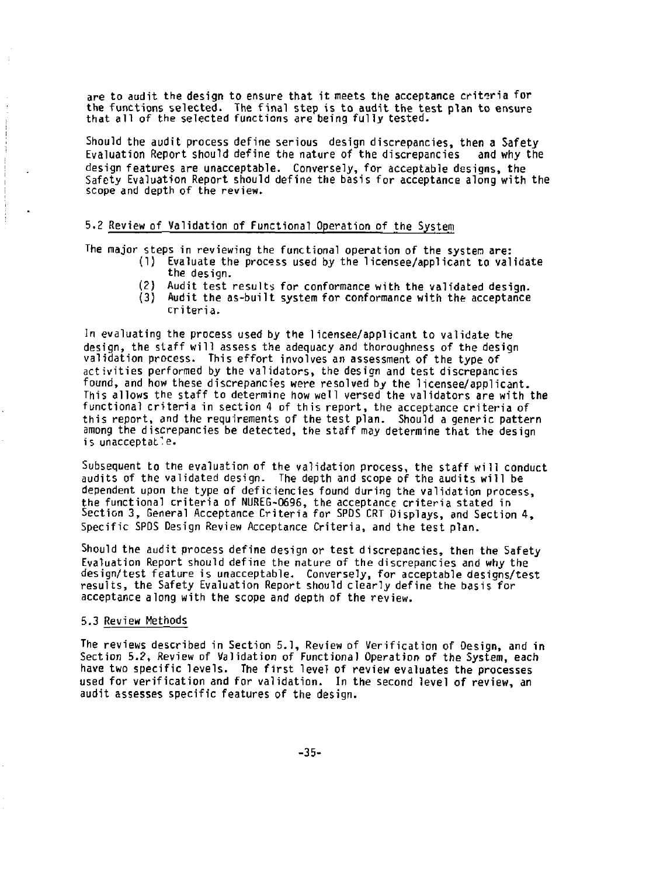**are to audit the design to ensure that it meets the acceptance criteria for the functions selected. The final step is to audit the test plan to ensure that all of the selected functions are being fully tested.** 

**Should the audit process define serious design discrepancies, then a Safety**  Evaluation Report should define the nature of the discrepancies **design features are unacceptable. Conversely, for acceptable designs, the Safety Evaluation Report should define the basis for acceptance along with the scope and depth of the review.** 

## **5.2 Review of Validation of Functional Operation of the System**

**The major steps in reviewing the functional operation of the system are:** 

- **(1) Evaluate the process used by the licensee/applicant to validate the design.**
- **(2) Audit test results for conformance with the validated design.**
- **(3) Audit the as-built system for conformance with the acceptance criteria.**

**In evaluating the process used by the licensee/applicant to validate the design, the staff will assess the adequacy and thoroughness of the design validation process. This effort involves an assessment of the type of activities performed by the validators, the design and test discrepancies found, and how these discrepancies were resolved by the licensee/applicant. This allows the staff to determine how well versed the validators are with the functional criteria in section 4 of this report, the acceptance criteria of this report, and the requirements of the test plan. Should a generic pattern among the discrepancies be detected, the staff may determine that the design is unacceptable.** 

**Subsequent to the evaluation of the validation process, the staff will conduct audits of the validated design. The depth and scope of the audits will be dependent upon the type of deficiencies found during the validation process, the functional criteria of NUREG-0696, the acceptance criteria stated in Section 3, General Acceptance Criteria for SPDS CRT Displays, and Section 4, Specific SPDS Design Review Acceptance Criteria, and the test plan.** 

**Should the audit process define design or test discrepancies, then the Safety Evaluation Report should define the nature of the discrepancies and why the design/test feature is unacceptable. Conversely, for acceptable designs/test results, the Safety Evaluation Report should clearly define the basis for acceptance along with the scope and depth of the review.** 

## **5.3 Review Methods**

**The reviews described in Section 5.1, Review of Verification of Design, and in Section 5.2, Review of Validation of Functional Operation of the System, each have two specific levels. The first level of review evaluates the processes used for verification and for validation. In the second level of review, an audit assesses specific features of the design.**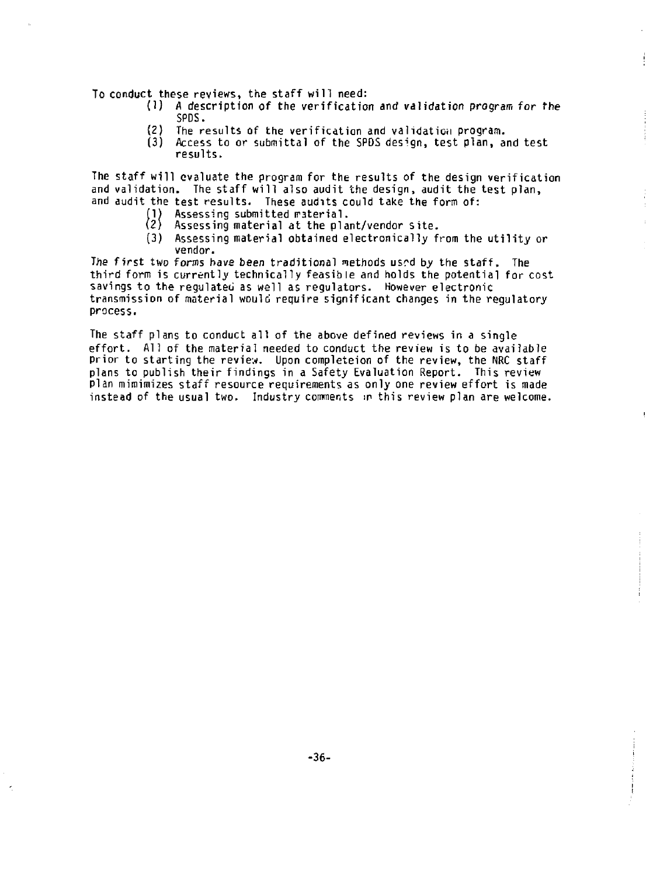**To conduct these reviews, the staff will need:** 

- **(1) A description of the verification and validation program for the SPDS.**
- **(2) The results of the verification and validation program.**
- **(3) Access to or submittal of the SPDS design, test plan, and test results.**

**The staff will evaluate the program for the results of the design verification and validation. The staff will also audit the design, audit the test plan, and audit the test results. These audits could take the form of:** 

- **1) Assessing submitted iraterial.** 
	- **2} Assessing material at the plant/vendor site.**
- **(3) Assessing material obtained electronically from the utility or vendor.**

**The first two forms have been traditional methods us^d by the staff. The third form is currently technically feasible and holds the potential for cost savings to the regulated as well as regulators. However electronic transmission of material would require significant changes in the regulatory process.** 

**The staff plans to conduct all of the above defined reviews in a single effort. All of the material needed to conduct the review is to be available prior to starting the review. Upon completeion of the review, the NRC staff plans to publish their findings in a Safety Evaluation Report. This review plan mimimizes staff resource requirements as only one review effort is made instead of the usual two. Industry comments in this review plan are welcome.**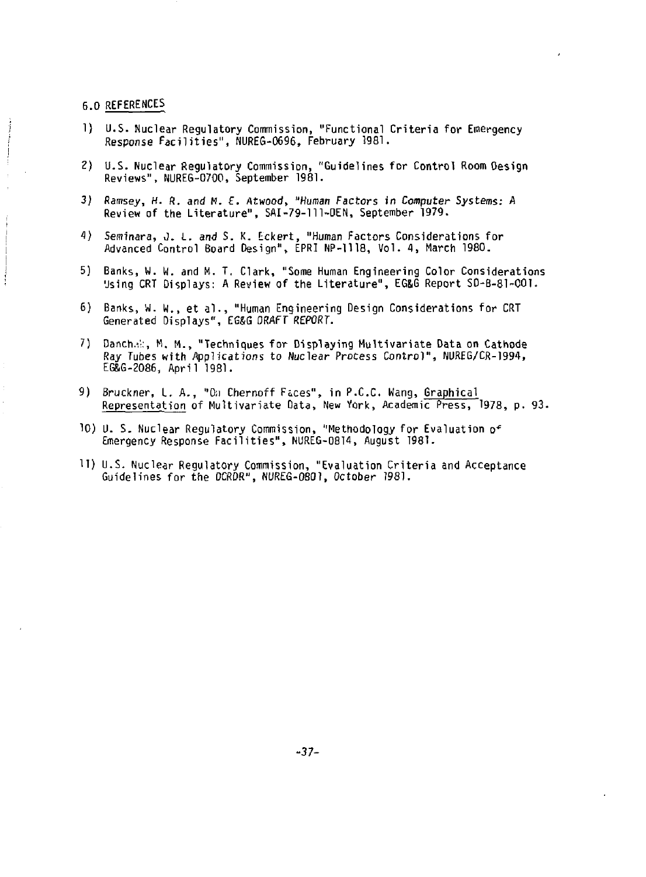**6.0 REFERENCES** 

- **1) U.S. Nuclear Regulatory Commission, "Functional Criteria for Emergency Response Facilities", NUREG-0696, February 1981.**
- **2) U.S. Nuclear Regulatory Commission, "Guidelines for Control Room Oesign Reviews", NUREG-0700, September 1981.**
- *3}* **Ramsey, H. R. and M.** *E. Atwood, "Human Factors* **in Computer Systems: A Review of the Literature", SAI-79-111-DEN, September 1979.**
- **4) Seminara, J.** *i. and* **S. K. Eckert, "Human Factors Considerations for**  Advanced Control Board Design", EPRI NP-1118, Vol. 4, March 1980.
- **5) Banks, W. W. and M. T, Clark, "Some Human Engineering Color Considerations Using CRT Displays: A Review of the Literature", EG&G Report SO-B-81-001.**
- **6) Banks, w. W., et al., "Human Engineering Design Considerations for CRT Generated Displays", EG&G DRAFT REPORT.**
- 7) Danch.a:, M. M., "Techniques for Displaying Multivariate Data on Cathode **Ray Tubes with Applications to Nuclear Process Control", NUREG/CR-1994, EGBG-2086, April 1981.**
- **9) Bruckner,** *I.* **A., "0;J Chernoff Fices", in P.C.C. Wang, Graphical Representation of Multivariate Data, New York, Academic Press, 1978, p. 93.**
- **10) U. S. Nuclear Regulatory Commission, "Methodology for Evaluation 0' Emergency Response Facilities", NUREG-0814, August 1981.**
- **11) U.S. Nuclear Regulatory Commission, "Evaluation Criteria and Acceptance Guidelines for the DCRDR", NUREG-0801, October 1981.**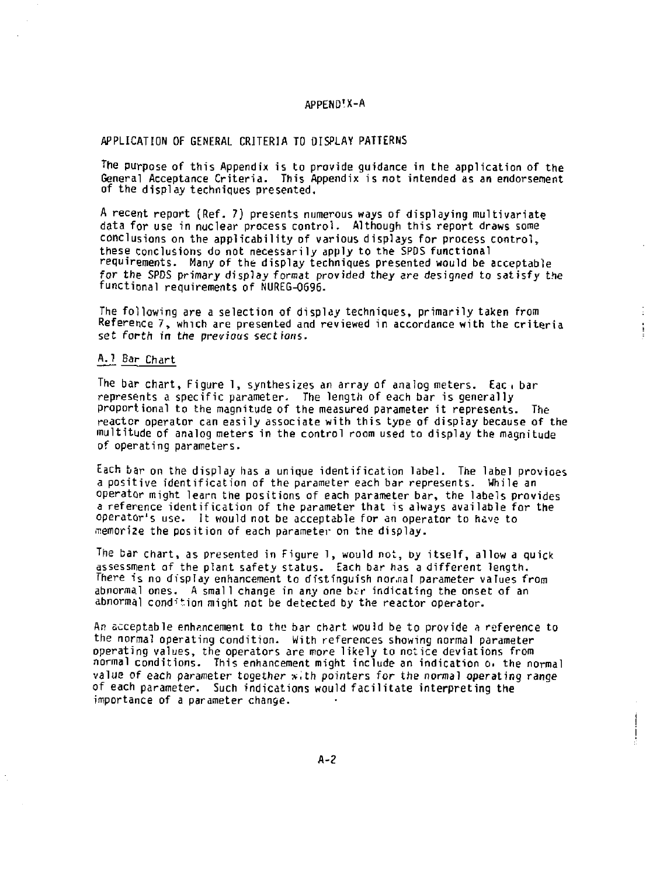## **APPEND'X-A**

### **APPLICATION OF GENERAL CRITERIA TO DISPLAY PATTERN5**

**The purpose of this Appendix is to provide guidance in the application of the General Acceptance Criteria. This Appendix is not intended as an endorsement of the display techniques presented.** 

**A recent report (Ref. 7) presents numerous ways of displaying multivariate data for use in nuclear process control. Although this report draws some conclusions on the applicability of various displays for process control, these conclusions do not necessarily apply to the SPOS functional requirements. Many of the display techniques presented would be acceptable for the SPOS primary display format provided they** *are* **designed to satisfy the functional requirements of NUREG-0696.** 

**The following are a selection of display techniques, primarily taken from Reference 7, which are presented and reviewed in accordance with the criteria**  set forth in the previous sections.

## **A.l Bar Chart**

**The bar chart, Figure 1, synthesizes an array of analog meters. Eac i bar represents a specific parameter. The length of each bar is generally proportional to the magnitude of the measured parameter it represents. The reactor operator can easily associate with this type of display because of the multitude of analog meters in the control room used to display the magnitude of operating parameters.** 

**Each bar on the display has a unique identification label. The label provioes a positive identification of the parameter each bar represents. While an operator might learn the positions of each parameter bar, the labels provides a reference identification of the parameter that is always available for the operator's use. It would not be acceptable for an operator to have to memorize the position of each parameter on the display.** 

**The bar chart, as presented in Figure 1, would not, by itself, allow a quick assessment af the plant safety status. Each bar has a different length. There is no display enhancement to distinguish nor.nal parameter values from**  abnormal ones. A small change in any one bar indicating the onset of an **abnormal condition might not be detected by the reactor operator.** 

**An acceptable enhancement to the bar chart would be to provide a reference to the normal operating condition. With references showing normal parameter operating values, the operators are more likely to notice deviations from normal conditions. This enhancement might include an indication Oi the normal value of each parameter together w.th pointers for the normal operating range of each parameter. Such indications would facilitate interpreting the importance of a parameter change.** 

 $\bigg\}$ Ţ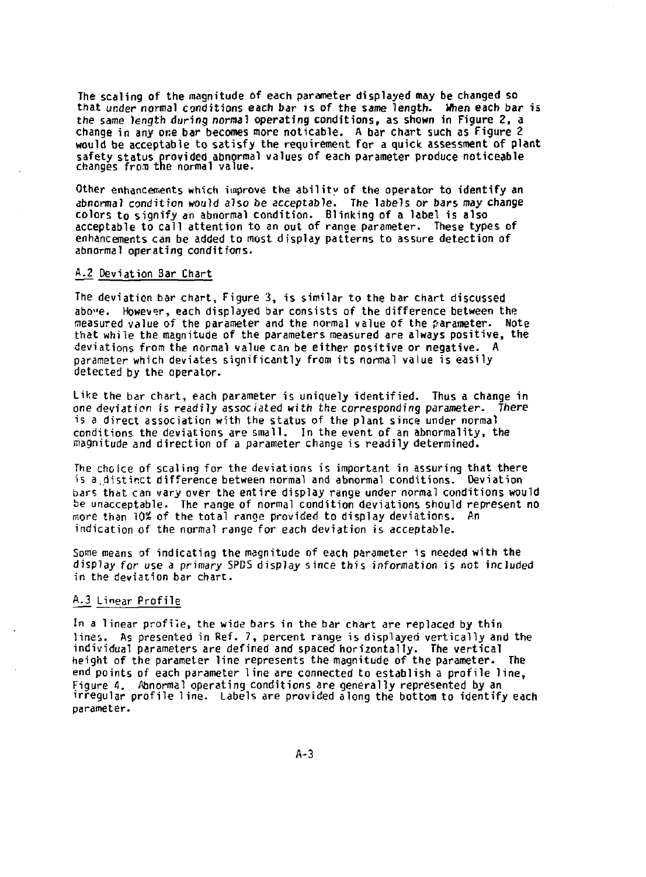**The scaling of the magnitude of each parameter displayed may be changed so that under normal conditions each bar is of the same length. When each bar is the same length during** *norma)* **operating conditions, as shown in Figure 2, a change in any one bar becomes more noticable. A bar chart such as Figure 2 would be acceptable to satisfy the requirement for a quick assessment of plant safety status provided abnormal values of each parameter produce noticeable changes fron the normal value.** 

**Other enhancements which improve the ability of the operator to identify an abnormal condition would also be acceptable. The labels or bars may change colors to signify an abnormal condition. Blinking of a label is also acceptable to call attention to an out of range parameter. These types of enhancements can be added to most display patterns to assure detection of abnormal operating conditions.** 

### **A.2 Deviation Bar Chart**

**The deviation bar chart, Figure 3, is similar to the bar chart discussed abo"e. However, each displayed bar consists of the difference between the**  measured value of the parameter and the normal value of the parameter. **that while the magnitude of the parameters measured are always positive, the deviations from the normal value can be either positive or negative. A parameter which deviates significantly from its normal value is easily detected by the operator.** 

**Like the bar chart, each parameter is uniquely identified. Thus a change in one deviation is readily associated with the corresponding parameter. There is a direct association with the status of the plant since under normal conditions, the deviations are small. In the event of an abnormality, the magnitude and direction of a parameter change is readily determined.** 

**The choice of scaling for the deviations is important in assuring that there is a,distinct difference between normal and abnormal conditions. Deviation bars thot can vary over the entire display range under normal conditions would be unacceptable. The range of normal condition deviations should represent no more than 10% of the total range provided to display deviations. An indication of the normal range for each deviation is acceptable.** 

**Some means of indicating the magnitude of each parameter is needed with the display for use a primary 5PCS display since this information is not included in the deviation bar chart.** 

## **A.3 Linear Profile**

**In a linear profile, the wide bars in the bar chart are replaced by thin lines. As presented in Ref. 7, percent range is displayed vertically and the individual parameters are defined and spaced horizontally. The vertical height of the parameter line represents the magnitude of the parameter. The end points of each parameter line are connected to establish a profile line, Figure 1. Abnormal operating conditions are generally represented by an irregular profile line. Labels are provided along the bottom to identify each parameter.**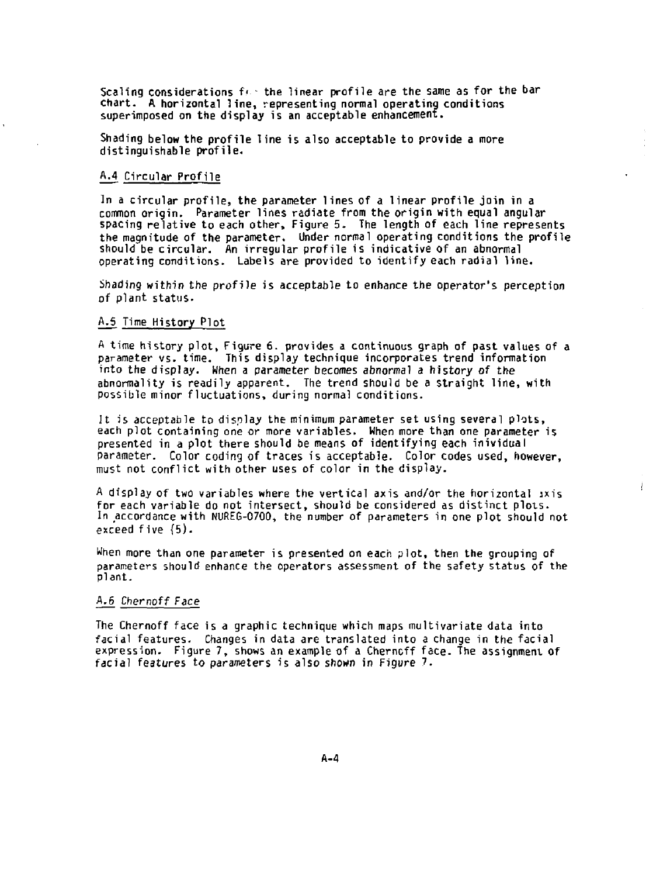Scaling considerations for the linear profile are the same as for the bar **chart. A horizontal line, representing normal operating conditions superimposed on the display is an acceptable enhancement.** 

**Shading below the profile line is also acceptable to provide a more distinguishable profile.** 

### **A.4 Circular Profile**

**In a circular profile, the parameter lines of a linear profile join in a common origin. Parameter lines radiate from the origin with equal angular spacing relative to each other, Figure 5. The length of each line represents the magnitude of the parameter. Under normal operating conditions the profile should be circular. An irregular profile is indicative of an abnormal operating conditions. Labels are provided to identify each radial line.** 

**Shading within the profile is acceptable to enhance the operator's perception of plant status.** 

### **A.5 Time History Plot**

**A time history plot. Figure 6. provides a continuous graph of past values of a parameter vs. time. This display technique incorporates trend information into the display. When a parameter becomes abnormal a history of the abnormality is readily apparent. The trend should be a straight line, with possible minor fluctuations, during normal conditions.** 

**It is acceptable to display the minimum parameter set using several plots, each plot containing one or more variables. When more than one parameter is presented in a plot there should be means of identifying each inividual parameter. Color coding of traces is acceptable. Color codes used, however, must not conflict with other uses of color in the display.** 

**A display of two variables where the vertical axis and/or the horizontal axis for each variable do not intersect, should be considered as distinct plots. In accordance with NUREG-0700, the number of parameters in one plot should not exceed five (5).** 

į

**When more than one parameter is presented on each plot, then the grouping of parameters should enhance the operators assessment of the safety status of the plant.** 

## **A.6 Chernoff Face**

**The Chernoff face is a graphic technique which maps multivariate data into facial features. Changes in data are translated into a change in the facial expression. Figure 7, shows an example of a Cherncff face. The assignment of facial features to parameters is also shown in Figure 7.**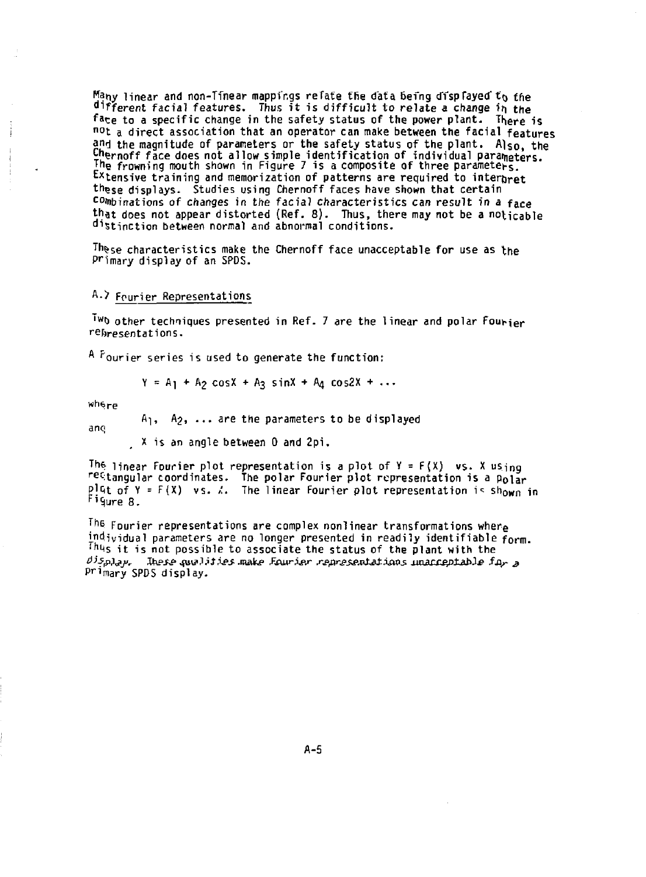**fjany linear and non-TTnear mappfngs relate the data Befng dTspFayed" to the Afferent facial features. Thus it is difficult to relate a change it) the**  face to a specific change in the safety status of the power plant. There is not a direct association that an operator can make between the facial features **and the magnitude of parameters or the safety status of the plant. Al s o , the yjernoff face does not allow simple identification of individual parameters. T he frowning mouth shown in Figure 7 is a composite of three parameters.**  Extensive training and memorization of patterns are required to interpret these displays. Studies using Chernoff faces have shown that certain **combinations of changes in the facial characteristics can result in a face**  that does not appear distorted (Ref. 8). Thus, there may not be a noticable **distinction between normal and abnormal conditions.** 

These characteristics make the Chernoff face unacceptable for use as the **P <sup>r</sup>lmary display of an SPDS.** 

### **<sup>A</sup> -> Fourier Representations**

**lwo** other techniques presented in Ref. 7 are the linear and polar Fourier **representations.** 

A <sup>F</sup>ourier series is used to generate the function:

$$
Y = A_1 + A_2 \cos X + A_3 \sin X + A_4 \cos 2X + ...
$$

wh6<sub>re</sub>

 $A_1$ ,  $A_2$ , ... are the parameters to be displayed

ano

X is an angle between 0 and 2pi .

The linear fourier plot representation is a plot of Y = F(X) vs. X using  $r$ ettangular coordinates. The polar Fourier plot representation is a p $_{\rm 01ar}$ plGt of Y = F(X) vs. *A.* The linear Fourier plot representation is sh<sub>OWN</sub> in<br>Figure 8.

The Fourier representations are complex nonlinear transformations where individual parameters are no longer presented in readily identifiable form. Thus it is not possible to associate the status of the plant with the *£)isp)j,j,r JMPSS-* ^utfJ *itXes -make £&wter s-s-flrgsp-ptat isws* ouuix^atable *fj\r #*  Primary SPDS display.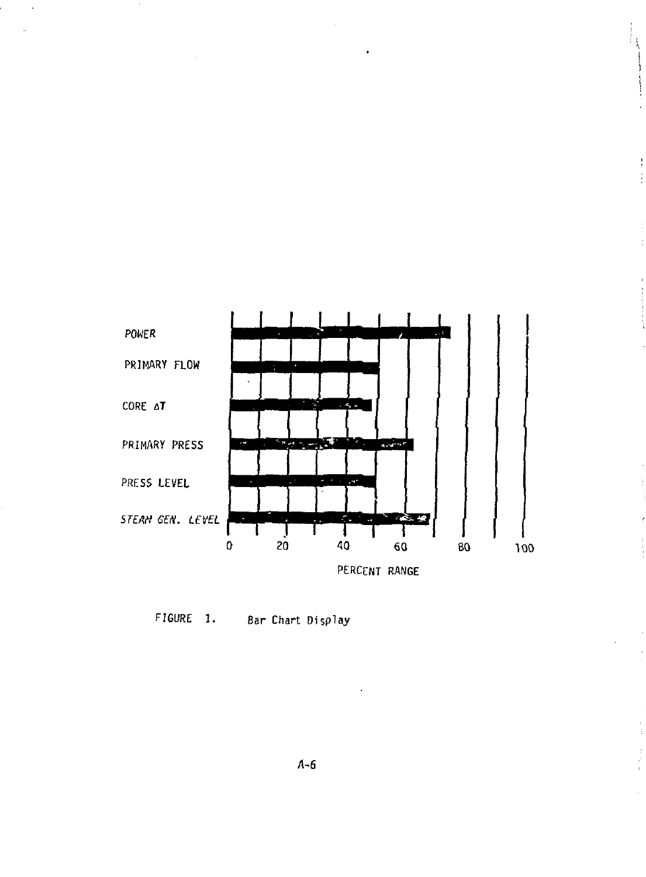

 $\frac{1}{2}$ ÷

 $\frac{1}{3}$ 

FIGURE 1. Bar Chart Display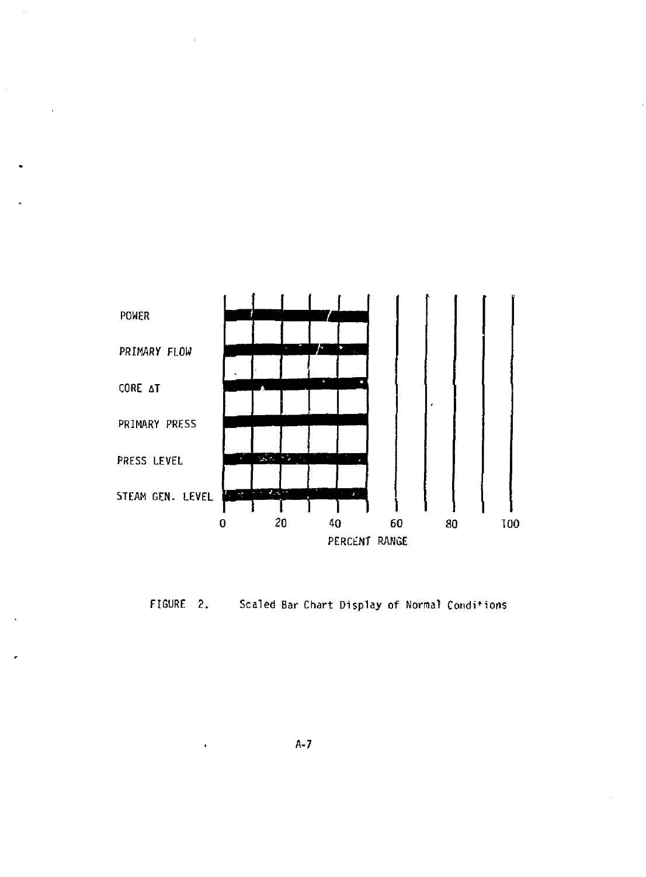

 $\ddot{\phantom{a}}$ 

 $\overline{a}$ 



A-7

l,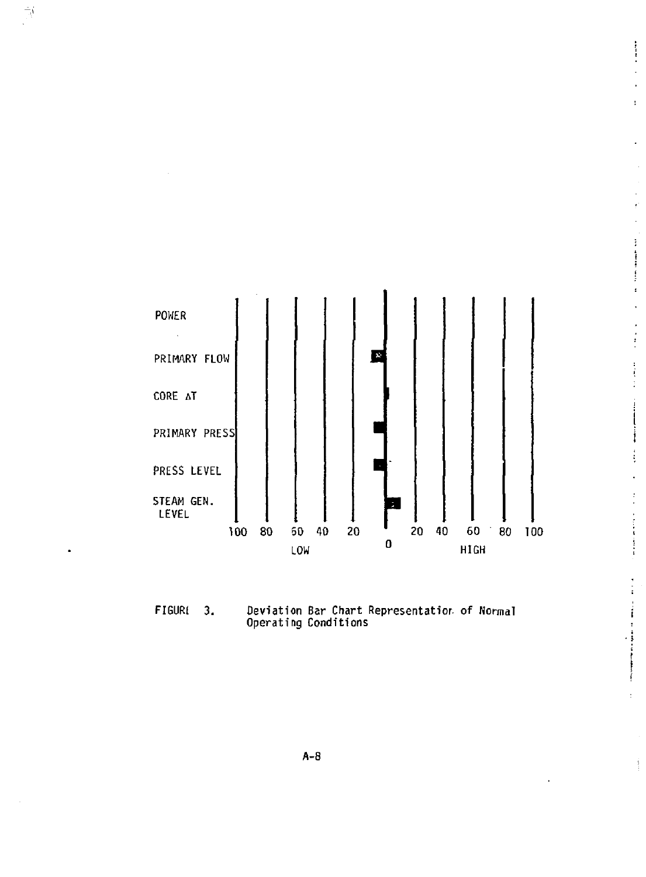

 $\frac{1}{2}$  $\overline{\phantom{a}}$  $\ddot{\phantom{1}}$ Ŧ.

 $\epsilon$  $\overline{a}$ ţ İ  $\frac{1}{2}$  $\pmb{\cdot}$  $\ddot{\phantom{a}}$  $\cdot$  $\frac{1}{2}$ 

 $\frac{1}{2}$ ÷ į

İ  $\frac{1}{2}$ l,  $\frac{1}{2}$ 

 $\label{eq:optimal} \begin{split} \mathcal{L}_{\text{in}}(\mathbf{r},\mathbf{r}) = \mathcal{L}_{\text{in}}(\mathbf{r},\mathbf{r}) = \mathcal{L}_{\text{in}}(\mathbf{r},\mathbf{r}) \times \mathcal{L}_{\text{in}}(\mathbf{r},\mathbf{r}) \times \mathcal{L}_{\text{in}}(\mathbf{r},\mathbf{r}) \times \mathcal{L}_{\text{in}}(\mathbf{r},\mathbf{r}) \times \mathcal{L}_{\text{in}}(\mathbf{r},\mathbf{r},\mathbf{r}) \times \mathcal{L}_{\text{in}}(\mathbf{r},\mathbf{r},\mathbf{r$ 

à,

Â

 $\begin{array}{c}\stackrel{\rightarrow}{\longrightarrow} \\[-1.5mm] \stackrel{\rightarrow}{\longrightarrow} \end{array}$ 

**FIGUR1 3. Deviation Bar Chart Representation of Normal Operating Conditions** 

**A-8**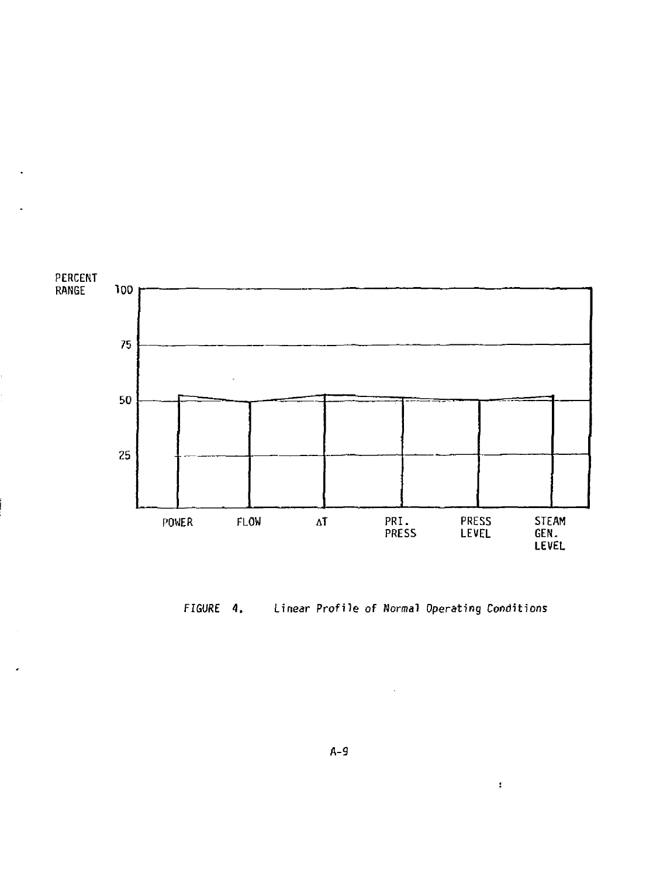



 $\mathbf{r}$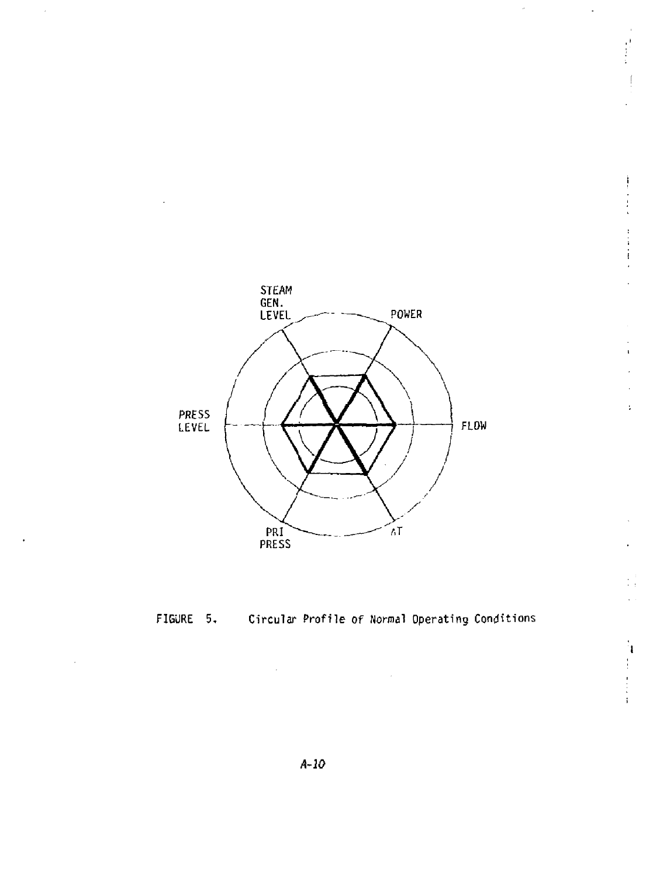

Î,  $\begin{bmatrix} 1 \\ 1 \\ 2 \end{bmatrix}$ 

计字符

l.

l,

 $\frac{1}{4}$ 

 $\bar{z}$ 

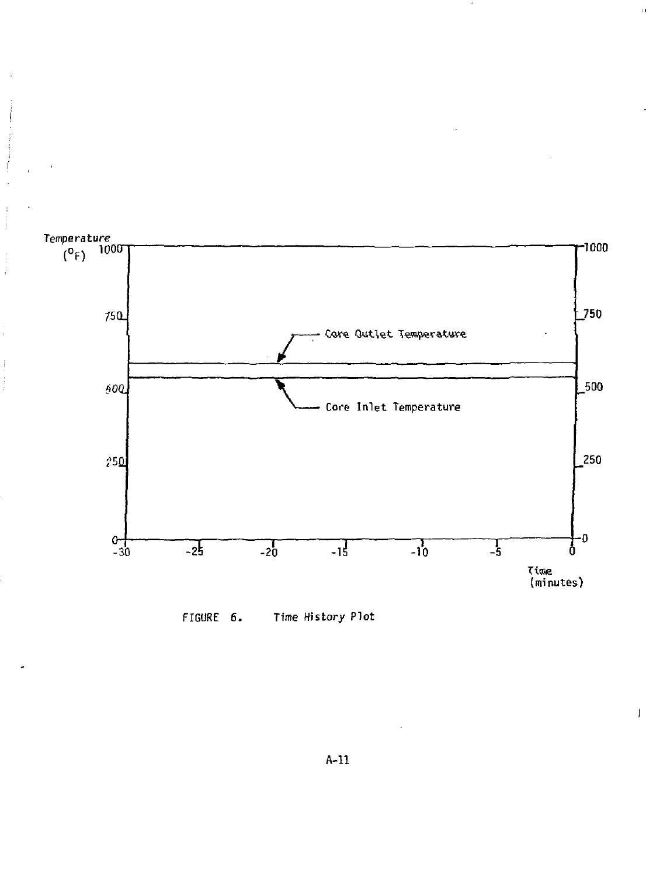



 $\overline{1}$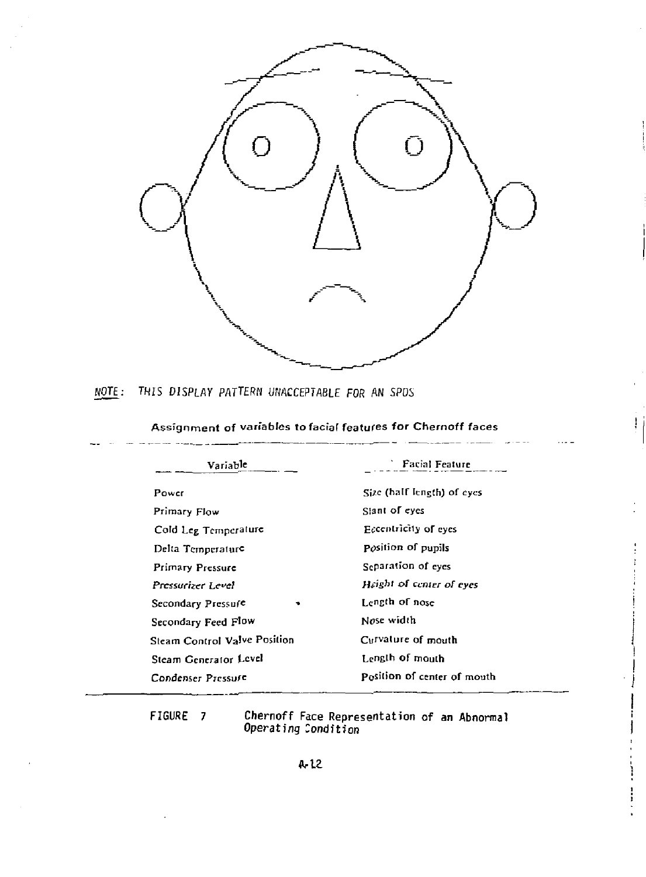

NOTE: THIS DISPLAY PATTERN UNACCEPTABLE FOR AN SPOS

# Assignment of variables to facial features for Chernoff faces

T

| Variable                     | <b>Facial Feature</b>       |
|------------------------------|-----------------------------|
| Power                        | Size (balf length) of eyes  |
| Primary Flow                 | Slant of eyes               |
| Cold Leg Temperature         | Eccentricity of eyes        |
| Delta Temperature            | Position of pupils          |
| <b>Primary Pressure</b>      | Separation of eyes          |
| Pressurizer Level            | Height of center of eves    |
| Secondary Pressure           | Length of nose              |
| Secondary Feed Flow          | Nose width                  |
| Steam Control Valve Position | Curvature of mouth          |
| Steam Generator Level        | Length of mouth             |
| Condenser Pressure           | Position of center of mouth |

**FIGURE 7 Chernoff Face Representation of an Abnormal Operating Condition**